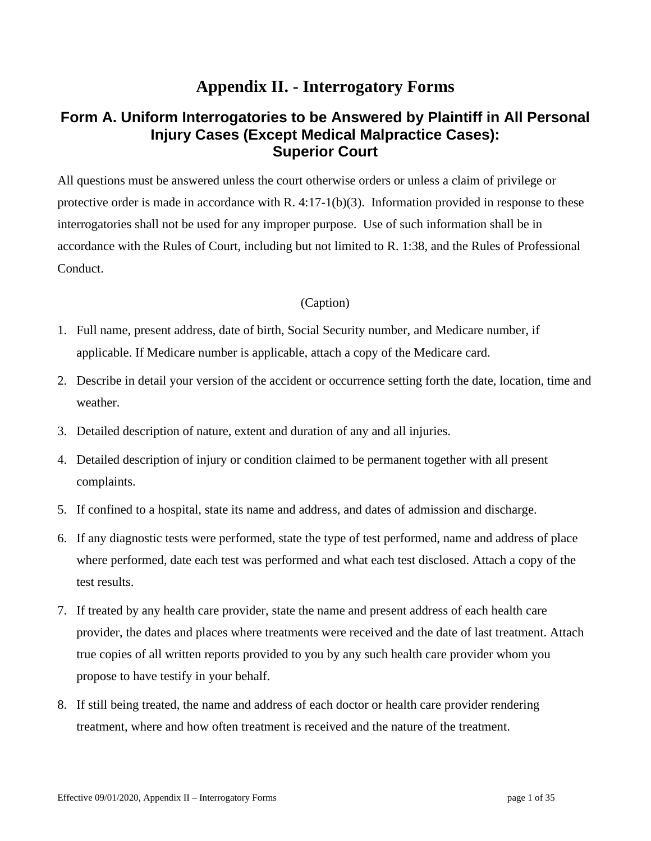# **Appendix II. - Interrogatory Forms**

## **Form A. Uniform Interrogatories to be Answered by Plaintiff in All Personal Injury Cases (Except Medical Malpractice Cases): Superior Court**

All questions must be answered unless the court otherwise orders or unless a claim of privilege or protective order is made in accordance with R. 4:17-1(b)(3). Information provided in response to these interrogatories shall not be used for any improper purpose. Use of such information shall be in accordance with the Rules of Court, including but not limited to R. 1:38, and the Rules of Professional Conduct.

- 1. Full name, present address, date of birth, Social Security number, and Medicare number, if applicable. If Medicare number is applicable, attach a copy of the Medicare card.
- 2. Describe in detail your version of the accident or occurrence setting forth the date, location, time and weather.
- 3. Detailed description of nature, extent and duration of any and all injuries.
- 4. Detailed description of injury or condition claimed to be permanent together with all present complaints.
- 5. If confined to a hospital, state its name and address, and dates of admission and discharge.
- 6. If any diagnostic tests were performed, state the type of test performed, name and address of place where performed, date each test was performed and what each test disclosed. Attach a copy of the test results.
- 7. If treated by any health care provider, state the name and present address of each health care provider, the dates and places where treatments were received and the date of last treatment. Attach true copies of all written reports provided to you by any such health care provider whom you propose to have testify in your behalf.
- 8. If still being treated, the name and address of each doctor or health care provider rendering treatment, where and how often treatment is received and the nature of the treatment.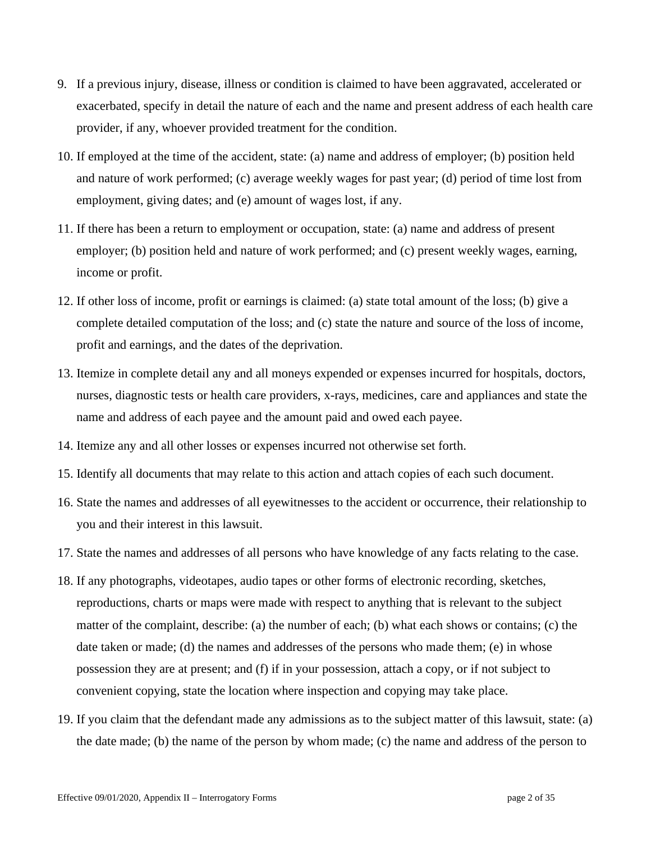- 9. If a previous injury, disease, illness or condition is claimed to have been aggravated, accelerated or exacerbated, specify in detail the nature of each and the name and present address of each health care provider, if any, whoever provided treatment for the condition.
- 10. If employed at the time of the accident, state: (a) name and address of employer; (b) position held and nature of work performed; (c) average weekly wages for past year; (d) period of time lost from employment, giving dates; and (e) amount of wages lost, if any.
- 11. If there has been a return to employment or occupation, state: (a) name and address of present employer; (b) position held and nature of work performed; and (c) present weekly wages, earning, income or profit.
- 12. If other loss of income, profit or earnings is claimed: (a) state total amount of the loss; (b) give a complete detailed computation of the loss; and (c) state the nature and source of the loss of income, profit and earnings, and the dates of the deprivation.
- 13. Itemize in complete detail any and all moneys expended or expenses incurred for hospitals, doctors, nurses, diagnostic tests or health care providers, x-rays, medicines, care and appliances and state the name and address of each payee and the amount paid and owed each payee.
- 14. Itemize any and all other losses or expenses incurred not otherwise set forth.
- 15. Identify all documents that may relate to this action and attach copies of each such document.
- 16. State the names and addresses of all eyewitnesses to the accident or occurrence, their relationship to you and their interest in this lawsuit.
- 17. State the names and addresses of all persons who have knowledge of any facts relating to the case.
- 18. If any photographs, videotapes, audio tapes or other forms of electronic recording, sketches, reproductions, charts or maps were made with respect to anything that is relevant to the subject matter of the complaint, describe: (a) the number of each; (b) what each shows or contains; (c) the date taken or made; (d) the names and addresses of the persons who made them; (e) in whose possession they are at present; and (f) if in your possession, attach a copy, or if not subject to convenient copying, state the location where inspection and copying may take place.
- 19. If you claim that the defendant made any admissions as to the subject matter of this lawsuit, state: (a) the date made; (b) the name of the person by whom made; (c) the name and address of the person to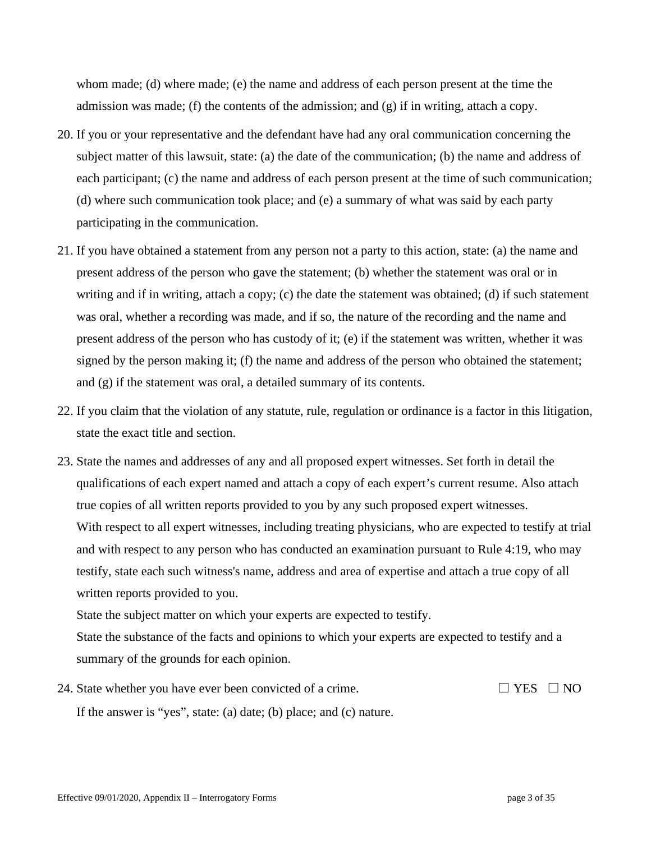whom made; (d) where made; (e) the name and address of each person present at the time the admission was made; (f) the contents of the admission; and (g) if in writing, attach a copy.

- 20. If you or your representative and the defendant have had any oral communication concerning the subject matter of this lawsuit, state: (a) the date of the communication; (b) the name and address of each participant; (c) the name and address of each person present at the time of such communication; (d) where such communication took place; and (e) a summary of what was said by each party participating in the communication.
- 21. If you have obtained a statement from any person not a party to this action, state: (a) the name and present address of the person who gave the statement; (b) whether the statement was oral or in writing and if in writing, attach a copy; (c) the date the statement was obtained; (d) if such statement was oral, whether a recording was made, and if so, the nature of the recording and the name and present address of the person who has custody of it; (e) if the statement was written, whether it was signed by the person making it; (f) the name and address of the person who obtained the statement; and (g) if the statement was oral, a detailed summary of its contents.
- 22. If you claim that the violation of any statute, rule, regulation or ordinance is a factor in this litigation, state the exact title and section.
- 23. State the names and addresses of any and all proposed expert witnesses. Set forth in detail the qualifications of each expert named and attach a copy of each expert's current resume. Also attach true copies of all written reports provided to you by any such proposed expert witnesses. With respect to all expert witnesses, including treating physicians, who are expected to testify at trial and with respect to any person who has conducted an examination pursuant to Rule 4:19, who may testify, state each such witness's name, address and area of expertise and attach a true copy of all written reports provided to you.

State the subject matter on which your experts are expected to testify.

State the substance of the facts and opinions to which your experts are expected to testify and a summary of the grounds for each opinion.

24. State whether you have ever been convicted of a crime.  $\Box$  YES  $\Box$  NO If the answer is "yes", state: (a) date; (b) place; and (c) nature.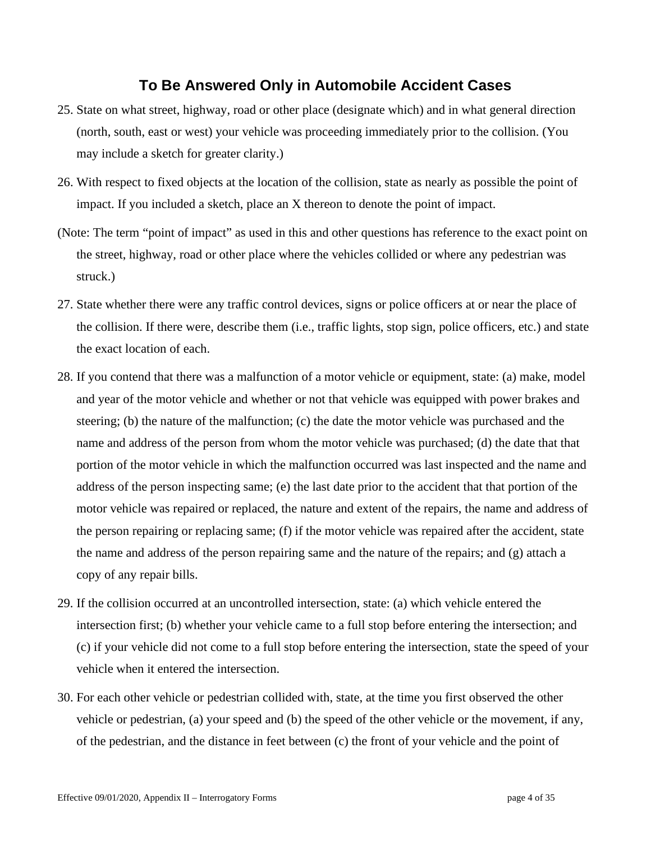## **To Be Answered Only in Automobile Accident Cases**

- 25. State on what street, highway, road or other place (designate which) and in what general direction (north, south, east or west) your vehicle was proceeding immediately prior to the collision. (You may include a sketch for greater clarity.)
- 26. With respect to fixed objects at the location of the collision, state as nearly as possible the point of impact. If you included a sketch, place an X thereon to denote the point of impact.
- (Note: The term "point of impact" as used in this and other questions has reference to the exact point on the street, highway, road or other place where the vehicles collided or where any pedestrian was struck.)
- 27. State whether there were any traffic control devices, signs or police officers at or near the place of the collision. If there were, describe them (i.e., traffic lights, stop sign, police officers, etc.) and state the exact location of each.
- 28. If you contend that there was a malfunction of a motor vehicle or equipment, state: (a) make, model and year of the motor vehicle and whether or not that vehicle was equipped with power brakes and steering; (b) the nature of the malfunction; (c) the date the motor vehicle was purchased and the name and address of the person from whom the motor vehicle was purchased; (d) the date that that portion of the motor vehicle in which the malfunction occurred was last inspected and the name and address of the person inspecting same; (e) the last date prior to the accident that that portion of the motor vehicle was repaired or replaced, the nature and extent of the repairs, the name and address of the person repairing or replacing same; (f) if the motor vehicle was repaired after the accident, state the name and address of the person repairing same and the nature of the repairs; and (g) attach a copy of any repair bills.
- 29. If the collision occurred at an uncontrolled intersection, state: (a) which vehicle entered the intersection first; (b) whether your vehicle came to a full stop before entering the intersection; and (c) if your vehicle did not come to a full stop before entering the intersection, state the speed of your vehicle when it entered the intersection.
- 30. For each other vehicle or pedestrian collided with, state, at the time you first observed the other vehicle or pedestrian, (a) your speed and (b) the speed of the other vehicle or the movement, if any, of the pedestrian, and the distance in feet between (c) the front of your vehicle and the point of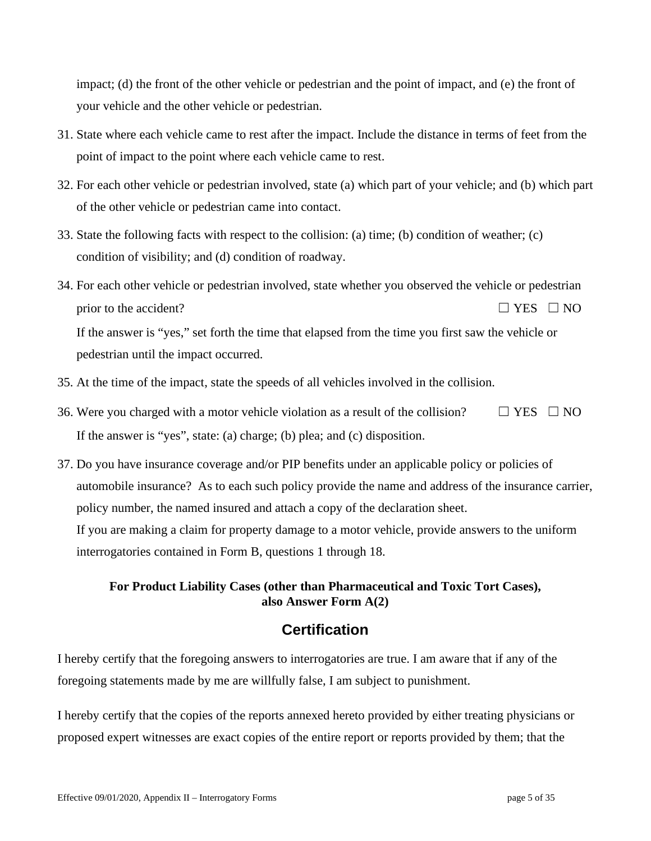impact; (d) the front of the other vehicle or pedestrian and the point of impact, and (e) the front of your vehicle and the other vehicle or pedestrian.

- 31. State where each vehicle came to rest after the impact. Include the distance in terms of feet from the point of impact to the point where each vehicle came to rest.
- 32. For each other vehicle or pedestrian involved, state (a) which part of your vehicle; and (b) which part of the other vehicle or pedestrian came into contact.
- 33. State the following facts with respect to the collision: (a) time; (b) condition of weather; (c) condition of visibility; and (d) condition of roadway.
- 34. For each other vehicle or pedestrian involved, state whether you observed the vehicle or pedestrian prior to the accident?  $\Box$  YES  $\Box$  NO If the answer is "yes," set forth the time that elapsed from the time you first saw the vehicle or pedestrian until the impact occurred.
- 35. At the time of the impact, state the speeds of all vehicles involved in the collision.
- 36. Were you charged with a motor vehicle violation as a result of the collision?  $\Box$  YES  $\Box$  NO If the answer is "yes", state: (a) charge; (b) plea; and (c) disposition.
- 37. Do you have insurance coverage and/or PIP benefits under an applicable policy or policies of automobile insurance? As to each such policy provide the name and address of the insurance carrier, policy number, the named insured and attach a copy of the declaration sheet. If you are making a claim for property damage to a motor vehicle, provide answers to the uniform interrogatories contained in Form B, questions 1 through 18.

## **For Product Liability Cases (other than Pharmaceutical and Toxic Tort Cases), also Answer Form A(2)**

## **Certification**

I hereby certify that the foregoing answers to interrogatories are true. I am aware that if any of the foregoing statements made by me are willfully false, I am subject to punishment.

I hereby certify that the copies of the reports annexed hereto provided by either treating physicians or proposed expert witnesses are exact copies of the entire report or reports provided by them; that the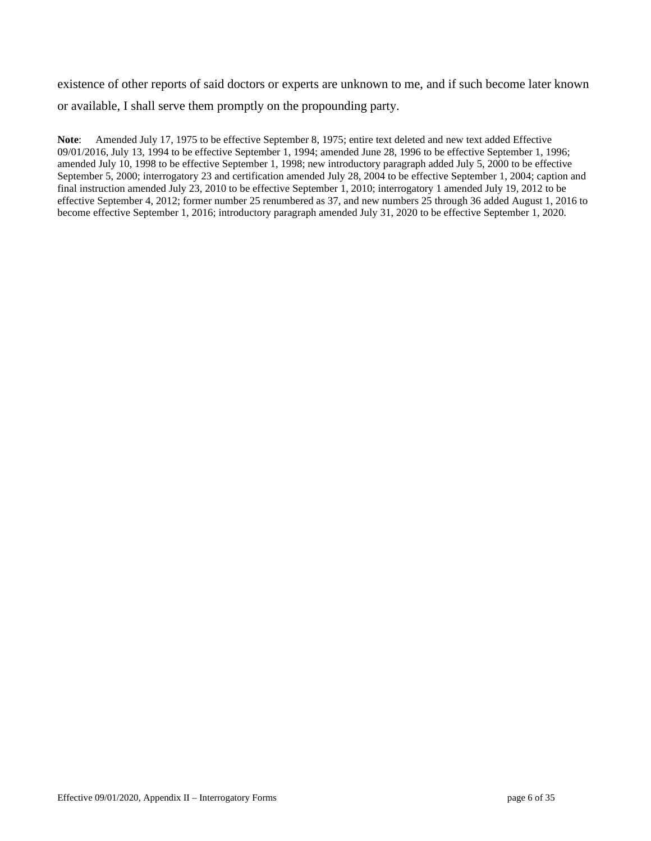existence of other reports of said doctors or experts are unknown to me, and if such become later known or available, I shall serve them promptly on the propounding party.

**Note**: Amended July 17, 1975 to be effective September 8, 1975; entire text deleted and new text added Effective 09/01/2016, July 13, 1994 to be effective September 1, 1994; amended June 28, 1996 to be effective September 1, 1996; amended July 10, 1998 to be effective September 1, 1998; new introductory paragraph added July 5, 2000 to be effective September 5, 2000; interrogatory 23 and certification amended July 28, 2004 to be effective September 1, 2004; caption and final instruction amended July 23, 2010 to be effective September 1, 2010; interrogatory 1 amended July 19, 2012 to be effective September 4, 2012; former number 25 renumbered as 37, and new numbers 25 through 36 added August 1, 2016 to become effective September 1, 2016; introductory paragraph amended July 31, 2020 to be effective September 1, 2020.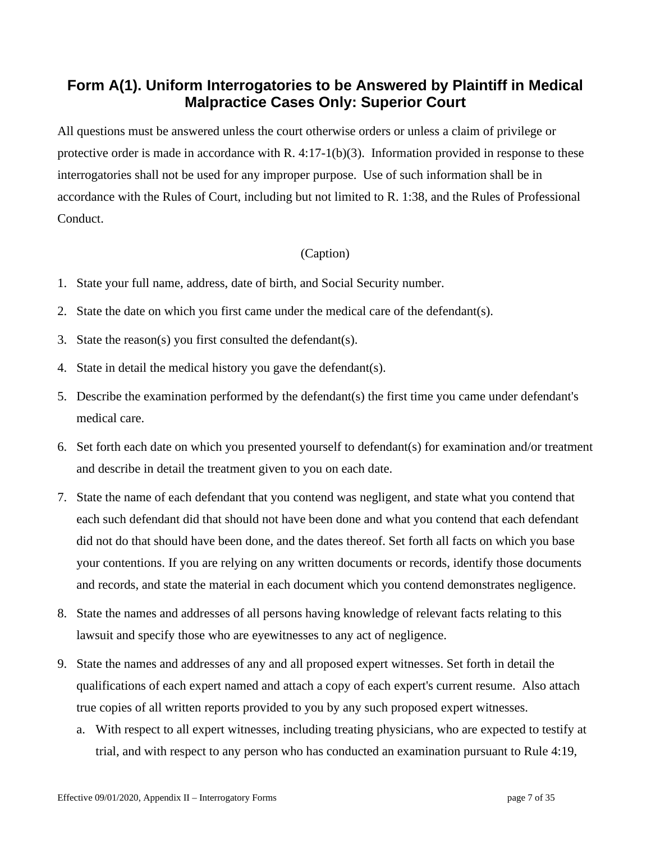# **Form A(1). Uniform Interrogatories to be Answered by Plaintiff in Medical Malpractice Cases Only: Superior Court**

All questions must be answered unless the court otherwise orders or unless a claim of privilege or protective order is made in accordance with R. 4:17-1(b)(3). Information provided in response to these interrogatories shall not be used for any improper purpose. Use of such information shall be in accordance with the Rules of Court, including but not limited to R. 1:38, and the Rules of Professional Conduct.

- 1. State your full name, address, date of birth, and Social Security number.
- 2. State the date on which you first came under the medical care of the defendant(s).
- 3. State the reason(s) you first consulted the defendant(s).
- 4. State in detail the medical history you gave the defendant(s).
- 5. Describe the examination performed by the defendant(s) the first time you came under defendant's medical care.
- 6. Set forth each date on which you presented yourself to defendant(s) for examination and/or treatment and describe in detail the treatment given to you on each date.
- 7. State the name of each defendant that you contend was negligent, and state what you contend that each such defendant did that should not have been done and what you contend that each defendant did not do that should have been done, and the dates thereof. Set forth all facts on which you base your contentions. If you are relying on any written documents or records, identify those documents and records, and state the material in each document which you contend demonstrates negligence.
- 8. State the names and addresses of all persons having knowledge of relevant facts relating to this lawsuit and specify those who are eyewitnesses to any act of negligence.
- 9. State the names and addresses of any and all proposed expert witnesses. Set forth in detail the qualifications of each expert named and attach a copy of each expert's current resume. Also attach true copies of all written reports provided to you by any such proposed expert witnesses.
	- a. With respect to all expert witnesses, including treating physicians, who are expected to testify at trial, and with respect to any person who has conducted an examination pursuant to Rule 4:19,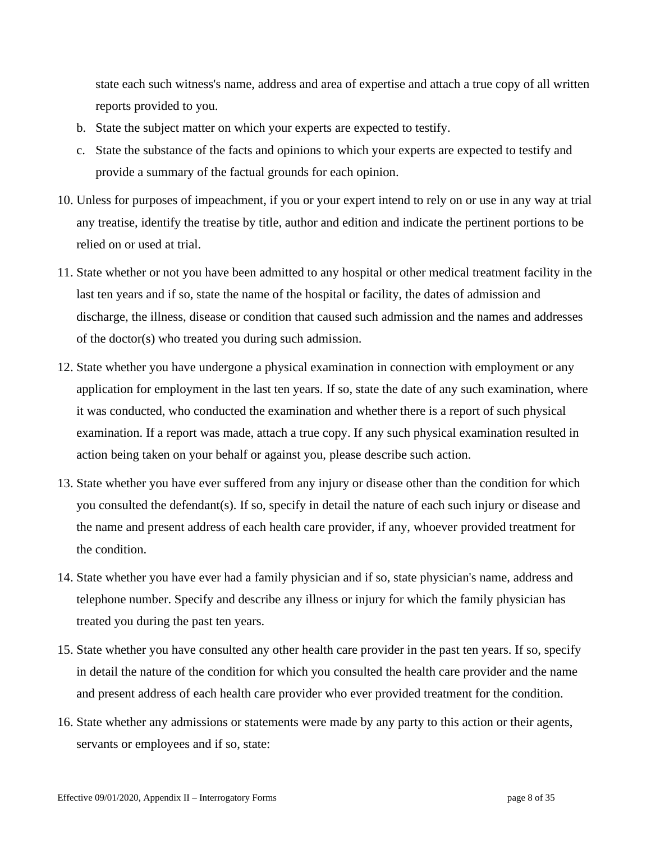state each such witness's name, address and area of expertise and attach a true copy of all written reports provided to you.

- b. State the subject matter on which your experts are expected to testify.
- c. State the substance of the facts and opinions to which your experts are expected to testify and provide a summary of the factual grounds for each opinion.
- 10. Unless for purposes of impeachment, if you or your expert intend to rely on or use in any way at trial any treatise, identify the treatise by title, author and edition and indicate the pertinent portions to be relied on or used at trial.
- 11. State whether or not you have been admitted to any hospital or other medical treatment facility in the last ten years and if so, state the name of the hospital or facility, the dates of admission and discharge, the illness, disease or condition that caused such admission and the names and addresses of the doctor(s) who treated you during such admission.
- 12. State whether you have undergone a physical examination in connection with employment or any application for employment in the last ten years. If so, state the date of any such examination, where it was conducted, who conducted the examination and whether there is a report of such physical examination. If a report was made, attach a true copy. If any such physical examination resulted in action being taken on your behalf or against you, please describe such action.
- 13. State whether you have ever suffered from any injury or disease other than the condition for which you consulted the defendant(s). If so, specify in detail the nature of each such injury or disease and the name and present address of each health care provider, if any, whoever provided treatment for the condition.
- 14. State whether you have ever had a family physician and if so, state physician's name, address and telephone number. Specify and describe any illness or injury for which the family physician has treated you during the past ten years.
- 15. State whether you have consulted any other health care provider in the past ten years. If so, specify in detail the nature of the condition for which you consulted the health care provider and the name and present address of each health care provider who ever provided treatment for the condition.
- 16. State whether any admissions or statements were made by any party to this action or their agents, servants or employees and if so, state: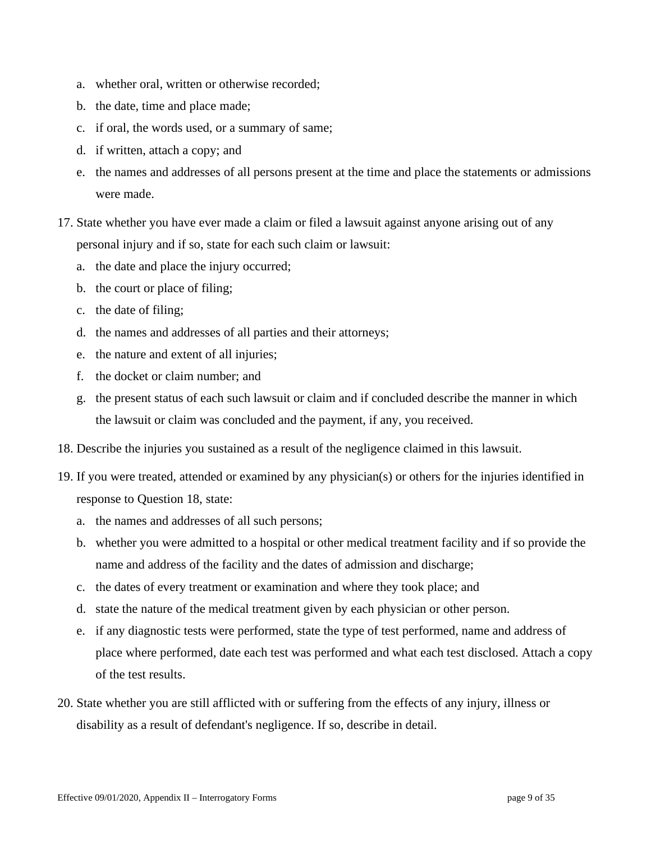- a. whether oral, written or otherwise recorded;
- b. the date, time and place made;
- c. if oral, the words used, or a summary of same;
- d. if written, attach a copy; and
- e. the names and addresses of all persons present at the time and place the statements or admissions were made.
- 17. State whether you have ever made a claim or filed a lawsuit against anyone arising out of any personal injury and if so, state for each such claim or lawsuit:
	- a. the date and place the injury occurred;
	- b. the court or place of filing;
	- c. the date of filing;
	- d. the names and addresses of all parties and their attorneys;
	- e. the nature and extent of all injuries;
	- f. the docket or claim number; and
	- g. the present status of each such lawsuit or claim and if concluded describe the manner in which the lawsuit or claim was concluded and the payment, if any, you received.
- 18. Describe the injuries you sustained as a result of the negligence claimed in this lawsuit.
- 19. If you were treated, attended or examined by any physician(s) or others for the injuries identified in response to Question 18, state:
	- a. the names and addresses of all such persons;
	- b. whether you were admitted to a hospital or other medical treatment facility and if so provide the name and address of the facility and the dates of admission and discharge;
	- c. the dates of every treatment or examination and where they took place; and
	- d. state the nature of the medical treatment given by each physician or other person.
	- e. if any diagnostic tests were performed, state the type of test performed, name and address of place where performed, date each test was performed and what each test disclosed. Attach a copy of the test results.
- 20. State whether you are still afflicted with or suffering from the effects of any injury, illness or disability as a result of defendant's negligence. If so, describe in detail.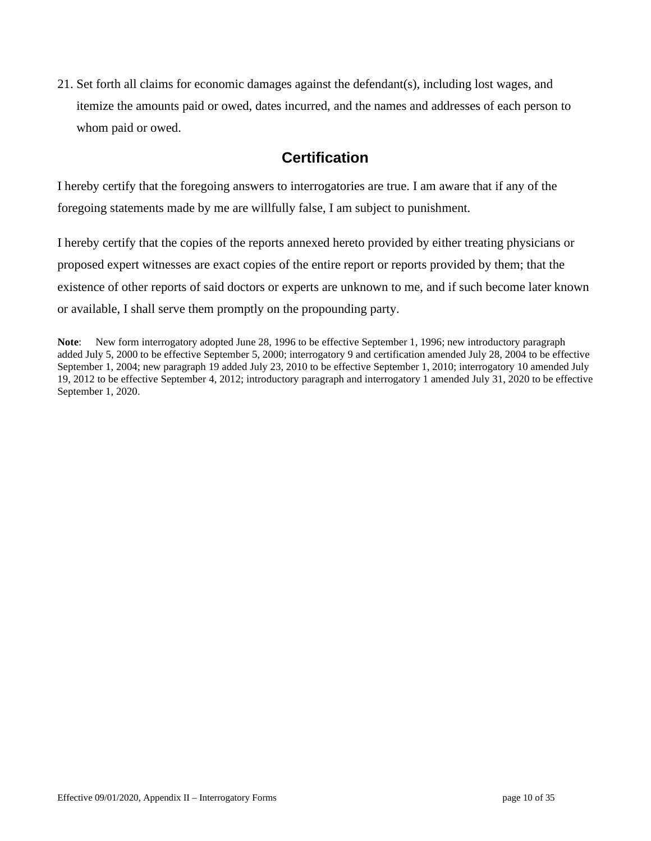21. Set forth all claims for economic damages against the defendant(s), including lost wages, and itemize the amounts paid or owed, dates incurred, and the names and addresses of each person to whom paid or owed.

# **Certification**

I hereby certify that the foregoing answers to interrogatories are true. I am aware that if any of the foregoing statements made by me are willfully false, I am subject to punishment.

I hereby certify that the copies of the reports annexed hereto provided by either treating physicians or proposed expert witnesses are exact copies of the entire report or reports provided by them; that the existence of other reports of said doctors or experts are unknown to me, and if such become later known or available, I shall serve them promptly on the propounding party.

**Note**: New form interrogatory adopted June 28, 1996 to be effective September 1, 1996; new introductory paragraph added July 5, 2000 to be effective September 5, 2000; interrogatory 9 and certification amended July 28, 2004 to be effective September 1, 2004; new paragraph 19 added July 23, 2010 to be effective September 1, 2010; interrogatory 10 amended July 19, 2012 to be effective September 4, 2012; introductory paragraph and interrogatory 1 amended July 31, 2020 to be effective September 1, 2020.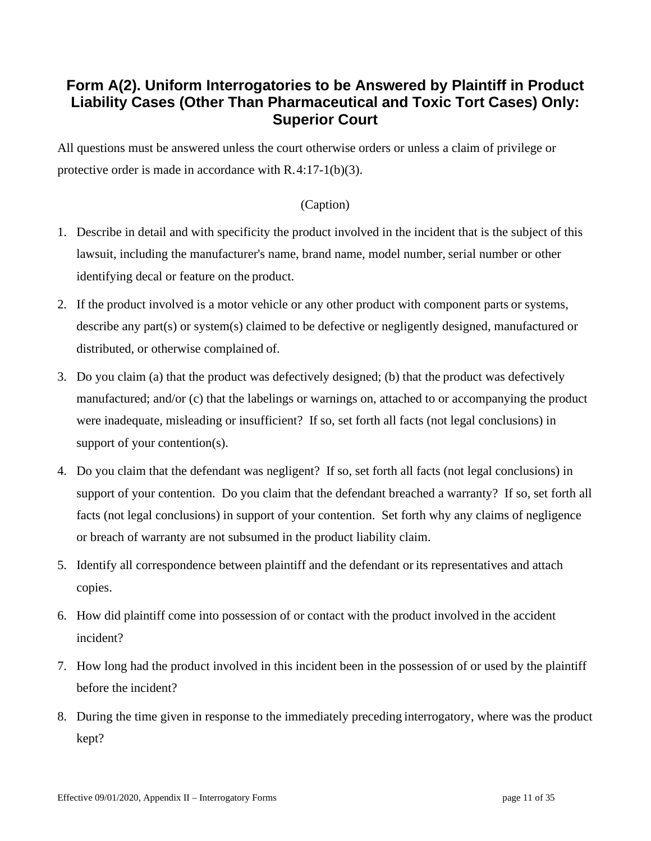# **Form A(2). Uniform Interrogatories to be Answered by Plaintiff in Product Liability Cases (Other Than Pharmaceutical and Toxic Tort Cases) Only: Superior Court**

All questions must be answered unless the court otherwise orders or unless a claim of privilege or protective order is made in accordance with R.4:17-1(b)(3).

- 1. Describe in detail and with specificity the product involved in the incident that is the subject of this lawsuit, including the manufacturer's name, brand name, model number, serial number or other identifying decal or feature on the product.
- 2. If the product involved is a motor vehicle or any other product with component parts or systems, describe any part(s) or system(s) claimed to be defective or negligently designed, manufactured or distributed, or otherwise complained of.
- 3. Do you claim (a) that the product was defectively designed; (b) that the product was defectively manufactured; and/or (c) that the labelings or warnings on, attached to or accompanying the product were inadequate, misleading or insufficient? If so, set forth all facts (not legal conclusions) in support of your contention(s).
- 4. Do you claim that the defendant was negligent? If so, set forth all facts (not legal conclusions) in support of your contention. Do you claim that the defendant breached a warranty? If so, set forth all facts (not legal conclusions) in support of your contention. Set forth why any claims of negligence or breach of warranty are not subsumed in the product liability claim.
- 5. Identify all correspondence between plaintiff and the defendant or its representatives and attach copies.
- 6. How did plaintiff come into possession of or contact with the product involved in the accident incident?
- 7. How long had the product involved in this incident been in the possession of or used by the plaintiff before the incident?
- 8. During the time given in response to the immediately preceding interrogatory, where was the product kept?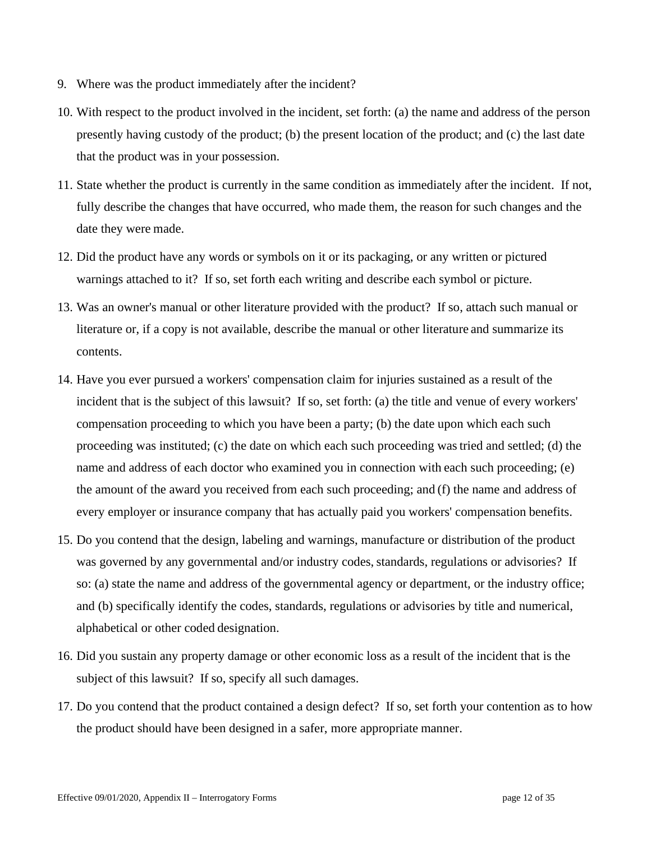- 9. Where was the product immediately after the incident?
- 10. With respect to the product involved in the incident, set forth: (a) the name and address of the person presently having custody of the product; (b) the present location of the product; and (c) the last date that the product was in your possession.
- 11. State whether the product is currently in the same condition as immediately after the incident. If not, fully describe the changes that have occurred, who made them, the reason for such changes and the date they were made.
- 12. Did the product have any words or symbols on it or its packaging, or any written or pictured warnings attached to it? If so, set forth each writing and describe each symbol or picture.
- 13. Was an owner's manual or other literature provided with the product? If so, attach such manual or literature or, if a copy is not available, describe the manual or other literature and summarize its contents.
- 14. Have you ever pursued a workers' compensation claim for injuries sustained as a result of the incident that is the subject of this lawsuit? If so, set forth: (a) the title and venue of every workers' compensation proceeding to which you have been a party; (b) the date upon which each such proceeding was instituted; (c) the date on which each such proceeding wastried and settled; (d) the name and address of each doctor who examined you in connection with each such proceeding; (e) the amount of the award you received from each such proceeding; and (f) the name and address of every employer or insurance company that has actually paid you workers' compensation benefits.
- 15. Do you contend that the design, labeling and warnings, manufacture or distribution of the product was governed by any governmental and/or industry codes, standards, regulations or advisories? If so: (a) state the name and address of the governmental agency or department, or the industry office; and (b) specifically identify the codes, standards, regulations or advisories by title and numerical, alphabetical or other coded designation.
- 16. Did you sustain any property damage or other economic loss as a result of the incident that is the subject of this lawsuit? If so, specify all such damages.
- 17. Do you contend that the product contained a design defect? If so, set forth your contention as to how the product should have been designed in a safer, more appropriate manner.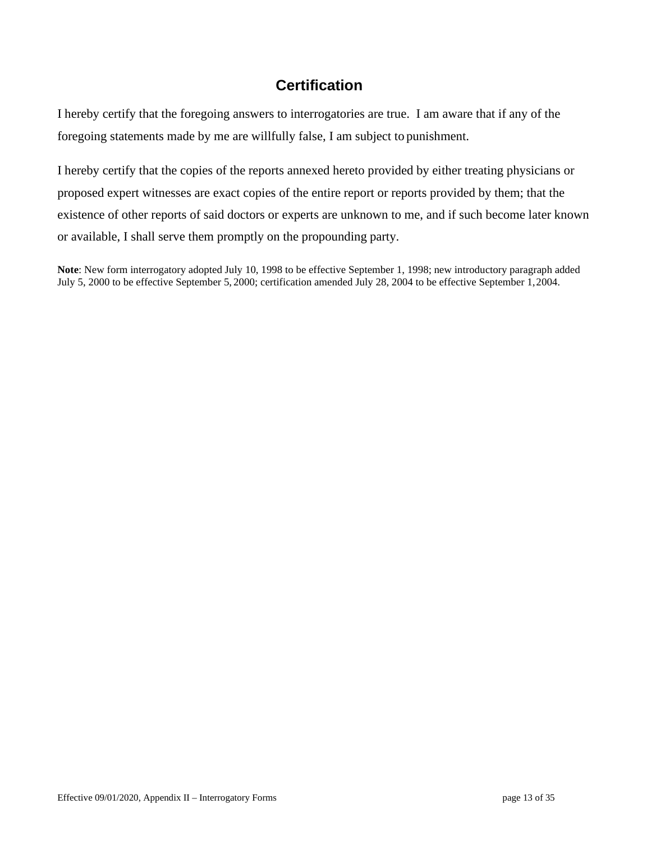I hereby certify that the foregoing answers to interrogatories are true. I am aware that if any of the foregoing statements made by me are willfully false, I am subject to punishment.

I hereby certify that the copies of the reports annexed hereto provided by either treating physicians or proposed expert witnesses are exact copies of the entire report or reports provided by them; that the existence of other reports of said doctors or experts are unknown to me, and if such become later known or available, I shall serve them promptly on the propounding party.

**Note**: New form interrogatory adopted July 10, 1998 to be effective September 1, 1998; new introductory paragraph added July 5, 2000 to be effective September 5, 2000; certification amended July 28, 2004 to be effective September 1,2004.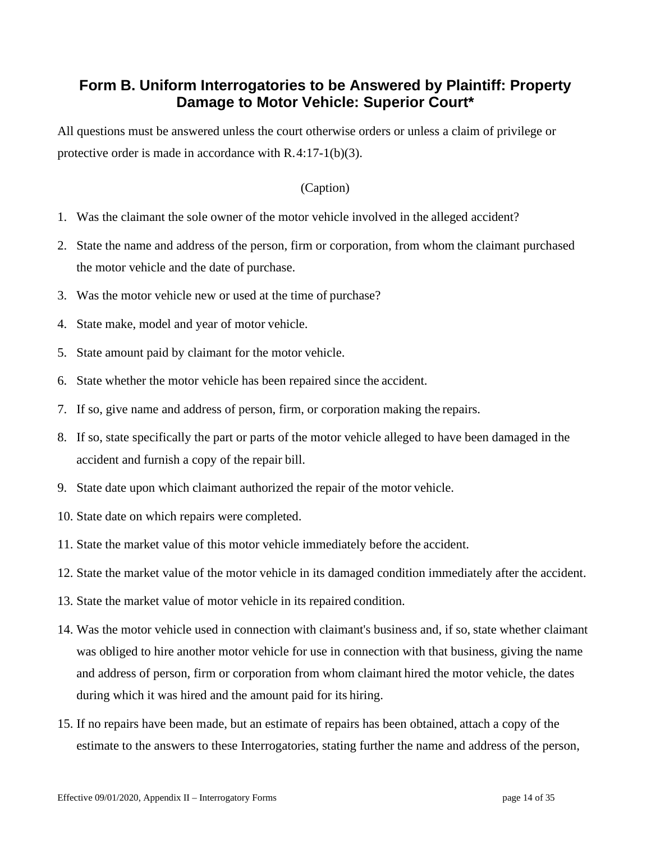# **Form B. Uniform Interrogatories to be Answered by Plaintiff: Property Damage to Motor Vehicle: Superior Court\***

All questions must be answered unless the court otherwise orders or unless a claim of privilege or protective order is made in accordance with R.4:17-1(b)(3).

- 1. Was the claimant the sole owner of the motor vehicle involved in the alleged accident?
- 2. State the name and address of the person, firm or corporation, from whom the claimant purchased the motor vehicle and the date of purchase.
- 3. Was the motor vehicle new or used at the time of purchase?
- 4. State make, model and year of motor vehicle.
- 5. State amount paid by claimant for the motor vehicle.
- 6. State whether the motor vehicle has been repaired since the accident.
- 7. If so, give name and address of person, firm, or corporation making the repairs.
- 8. If so, state specifically the part or parts of the motor vehicle alleged to have been damaged in the accident and furnish a copy of the repair bill.
- 9. State date upon which claimant authorized the repair of the motor vehicle.
- 10. State date on which repairs were completed.
- 11. State the market value of this motor vehicle immediately before the accident.
- 12. State the market value of the motor vehicle in its damaged condition immediately after the accident.
- 13. State the market value of motor vehicle in its repaired condition.
- 14. Was the motor vehicle used in connection with claimant's business and, if so, state whether claimant was obliged to hire another motor vehicle for use in connection with that business, giving the name and address of person, firm or corporation from whom claimant hired the motor vehicle, the dates during which it was hired and the amount paid for its hiring.
- 15. If no repairs have been made, but an estimate of repairs has been obtained, attach a copy of the estimate to the answers to these Interrogatories, stating further the name and address of the person,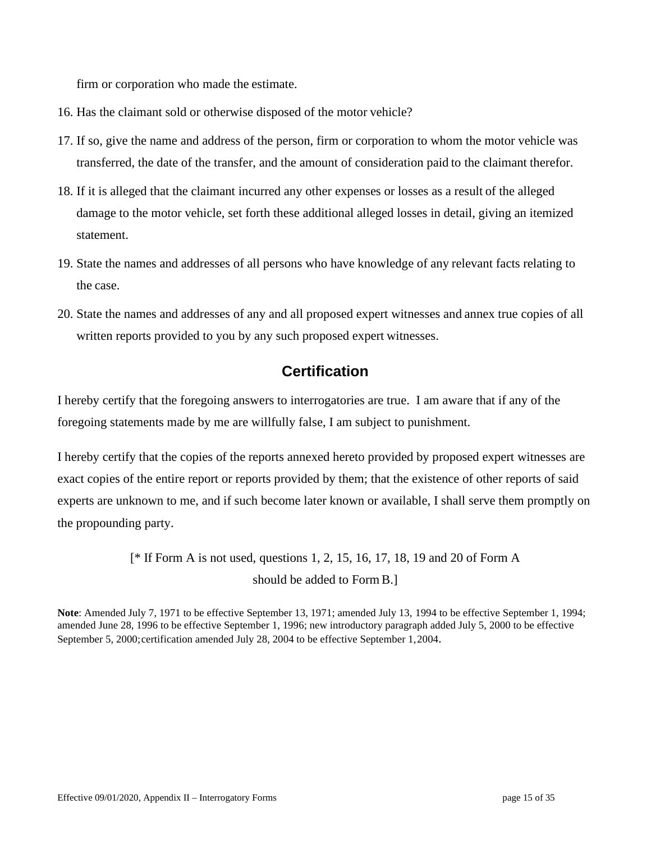firm or corporation who made the estimate.

- 16. Has the claimant sold or otherwise disposed of the motor vehicle?
- 17. If so, give the name and address of the person, firm or corporation to whom the motor vehicle was transferred, the date of the transfer, and the amount of consideration paid to the claimant therefor.
- 18. If it is alleged that the claimant incurred any other expenses or losses as a result of the alleged damage to the motor vehicle, set forth these additional alleged losses in detail, giving an itemized statement.
- 19. State the names and addresses of all persons who have knowledge of any relevant facts relating to the case.
- 20. State the names and addresses of any and all proposed expert witnesses and annex true copies of all written reports provided to you by any such proposed expert witnesses.

## **Certification**

I hereby certify that the foregoing answers to interrogatories are true. I am aware that if any of the foregoing statements made by me are willfully false, I am subject to punishment.

I hereby certify that the copies of the reports annexed hereto provided by proposed expert witnesses are exact copies of the entire report or reports provided by them; that the existence of other reports of said experts are unknown to me, and if such become later known or available, I shall serve them promptly on the propounding party.

> [\* If Form A is not used, questions 1, 2, 15, 16, 17, 18, 19 and 20 of Form A should be added to Form B.]

**Note**: Amended July 7, 1971 to be effective September 13, 1971; amended July 13, 1994 to be effective September 1, 1994; amended June 28, 1996 to be effective September 1, 1996; new introductory paragraph added July 5, 2000 to be effective September 5, 2000;certification amended July 28, 2004 to be effective September 1,2004.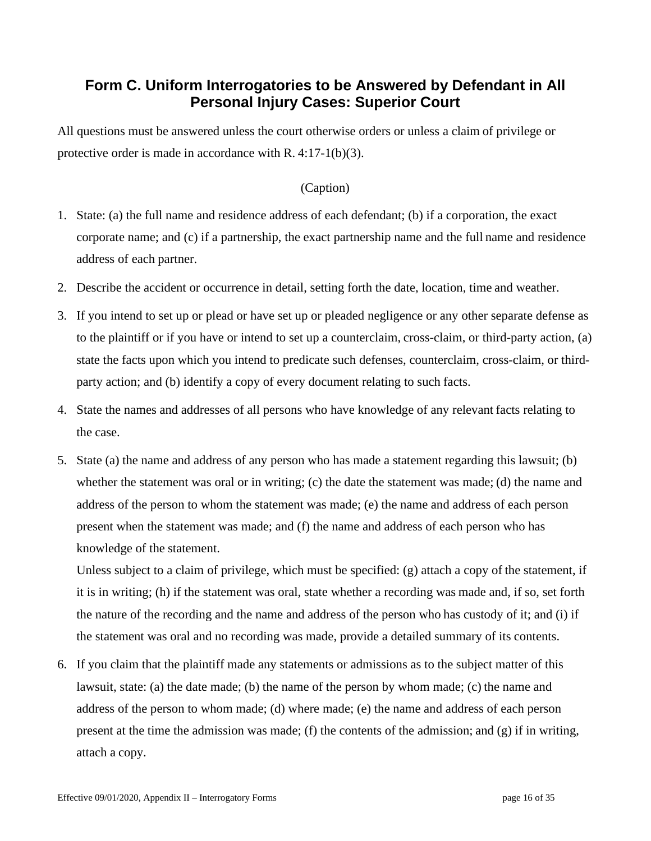# **Form C. Uniform Interrogatories to be Answered by Defendant in All Personal Injury Cases: Superior Court**

All questions must be answered unless the court otherwise orders or unless a claim of privilege or protective order is made in accordance with R. 4:17-1(b)(3).

## (Caption)

- 1. State: (a) the full name and residence address of each defendant; (b) if a corporation, the exact corporate name; and (c) if a partnership, the exact partnership name and the full name and residence address of each partner.
- 2. Describe the accident or occurrence in detail, setting forth the date, location, time and weather.
- 3. If you intend to set up or plead or have set up or pleaded negligence or any other separate defense as to the plaintiff or if you have or intend to set up a counterclaim, cross-claim, or third-party action, (a) state the facts upon which you intend to predicate such defenses, counterclaim, cross-claim, or thirdparty action; and (b) identify a copy of every document relating to such facts.
- 4. State the names and addresses of all persons who have knowledge of any relevant facts relating to the case.
- 5. State (a) the name and address of any person who has made a statement regarding this lawsuit; (b) whether the statement was oral or in writing; (c) the date the statement was made; (d) the name and address of the person to whom the statement was made; (e) the name and address of each person present when the statement was made; and (f) the name and address of each person who has knowledge of the statement.

Unless subject to a claim of privilege, which must be specified: (g) attach a copy of the statement, if it is in writing; (h) if the statement was oral, state whether a recording was made and, if so, set forth the nature of the recording and the name and address of the person who has custody of it; and (i) if the statement was oral and no recording was made, provide a detailed summary of its contents.

6. If you claim that the plaintiff made any statements or admissions as to the subject matter of this lawsuit, state: (a) the date made; (b) the name of the person by whom made; (c) the name and address of the person to whom made; (d) where made; (e) the name and address of each person present at the time the admission was made; (f) the contents of the admission; and  $(g)$  if in writing, attach a copy.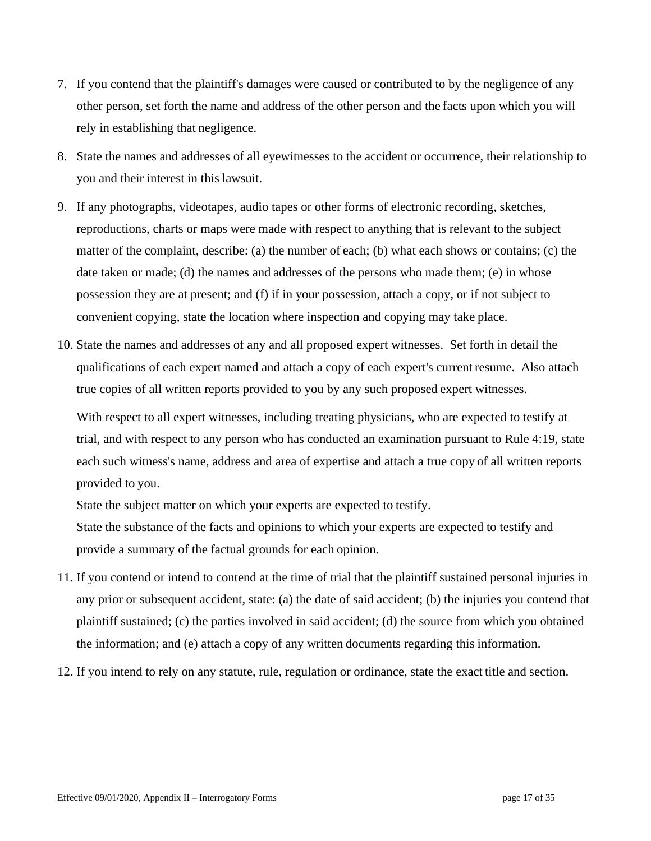- 7. If you contend that the plaintiff's damages were caused or contributed to by the negligence of any other person, set forth the name and address of the other person and the facts upon which you will rely in establishing that negligence.
- 8. State the names and addresses of all eyewitnesses to the accident or occurrence, their relationship to you and their interest in this lawsuit.
- 9. If any photographs, videotapes, audio tapes or other forms of electronic recording, sketches, reproductions, charts or maps were made with respect to anything that is relevant to the subject matter of the complaint, describe: (a) the number of each; (b) what each shows or contains; (c) the date taken or made; (d) the names and addresses of the persons who made them; (e) in whose possession they are at present; and (f) if in your possession, attach a copy, or if not subject to convenient copying, state the location where inspection and copying may take place.
- 10. State the names and addresses of any and all proposed expert witnesses. Set forth in detail the qualifications of each expert named and attach a copy of each expert's current resume. Also attach true copies of all written reports provided to you by any such proposed expert witnesses.

With respect to all expert witnesses, including treating physicians, who are expected to testify at trial, and with respect to any person who has conducted an examination pursuant to Rule 4:19, state each such witness's name, address and area of expertise and attach a true copy of all written reports provided to you.

State the subject matter on which your experts are expected to testify.

State the substance of the facts and opinions to which your experts are expected to testify and provide a summary of the factual grounds for each opinion.

- 11. If you contend or intend to contend at the time of trial that the plaintiff sustained personal injuries in any prior or subsequent accident, state: (a) the date of said accident; (b) the injuries you contend that plaintiff sustained; (c) the parties involved in said accident; (d) the source from which you obtained the information; and (e) attach a copy of any written documents regarding this information.
- 12. If you intend to rely on any statute, rule, regulation or ordinance, state the exact title and section.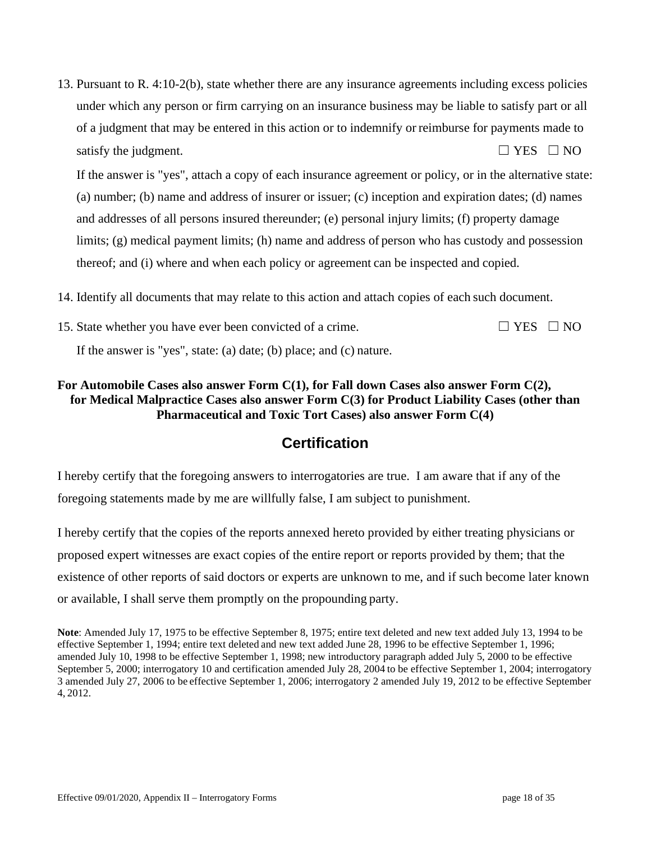13. Pursuant to R. 4:10-2(b), state whether there are any insurance agreements including excess policies under which any person or firm carrying on an insurance business may be liable to satisfy part or all of a judgment that may be entered in this action or to indemnify or reimburse for payments made to satisfy the judgment.  $\Box$  YES  $\Box$  NO

If the answer is "yes", attach a copy of each insurance agreement or policy, or in the alternative state: (a) number; (b) name and address of insurer or issuer; (c) inception and expiration dates; (d) names and addresses of all persons insured thereunder; (e) personal injury limits; (f) property damage limits; (g) medical payment limits; (h) name and address of person who has custody and possession thereof; and (i) where and when each policy or agreement can be inspected and copied.

- 14. Identify all documents that may relate to this action and attach copies of each such document.
- 15. State whether you have ever been convicted of a crime.  $\Box$  YES  $\Box$  NO If the answer is "yes", state: (a) date; (b) place; and (c) nature.

### **For Automobile Cases also answer Form C(1), for Fall down Cases also answer Form C(2), for Medical Malpractice Cases also answer Form C(3) for Product Liability Cases (other than Pharmaceutical and Toxic Tort Cases) also answer Form C(4)**

# **Certification**

I hereby certify that the foregoing answers to interrogatories are true. I am aware that if any of the foregoing statements made by me are willfully false, I am subject to punishment.

I hereby certify that the copies of the reports annexed hereto provided by either treating physicians or proposed expert witnesses are exact copies of the entire report or reports provided by them; that the existence of other reports of said doctors or experts are unknown to me, and if such become later known or available, I shall serve them promptly on the propounding party.

**Note**: Amended July 17, 1975 to be effective September 8, 1975; entire text deleted and new text added July 13, 1994 to be effective September 1, 1994; entire text deleted and new text added June 28, 1996 to be effective September 1, 1996; amended July 10, 1998 to be effective September 1, 1998; new introductory paragraph added July 5, 2000 to be effective September 5, 2000; interrogatory 10 and certification amended July 28, 2004 to be effective September 1, 2004; interrogatory 3 amended July 27, 2006 to be effective September 1, 2006; interrogatory 2 amended July 19, 2012 to be effective September 4, 2012.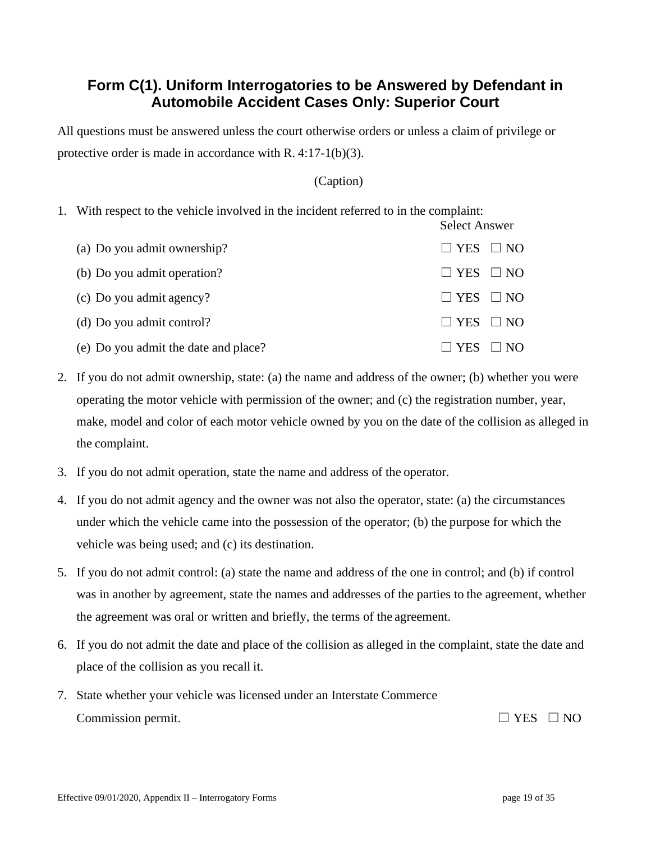# **Form C(1). Uniform Interrogatories to be Answered by Defendant in Automobile Accident Cases Only: Superior Court**

All questions must be answered unless the court otherwise orders or unless a claim of privilege or protective order is made in accordance with R. 4:17-1(b)(3).

#### (Caption)

Select Answer

1. With respect to the vehicle involved in the incident referred to in the complaint:

| (a) Do you admit ownership?          | $\Box$ YES $\Box$ NO |
|--------------------------------------|----------------------|
| (b) Do you admit operation?          | $\Box$ YES $\Box$ NO |
| (c) Do you admit agency?             | $\Box$ YES $\Box$ NO |
| (d) Do you admit control?            | $\Box$ YES $\Box$ NO |
| (e) Do you admit the date and place? | $\Box$ YES $\Box$ NO |

- 2. If you do not admit ownership, state: (a) the name and address of the owner; (b) whether you were operating the motor vehicle with permission of the owner; and (c) the registration number, year, make, model and color of each motor vehicle owned by you on the date of the collision as alleged in the complaint.
- 3. If you do not admit operation, state the name and address of the operator.
- 4. If you do not admit agency and the owner was not also the operator, state: (a) the circumstances under which the vehicle came into the possession of the operator; (b) the purpose for which the vehicle was being used; and (c) its destination.
- 5. If you do not admit control: (a) state the name and address of the one in control; and (b) if control was in another by agreement, state the names and addresses of the parties to the agreement, whether the agreement was oral or written and briefly, the terms of the agreement.
- 6. If you do not admit the date and place of the collision as alleged in the complaint, state the date and place of the collision as you recall it.
- 7. State whether your vehicle was licensed under an Interstate Commerce Commission permit.  $\Box$  YES  $\Box$  NO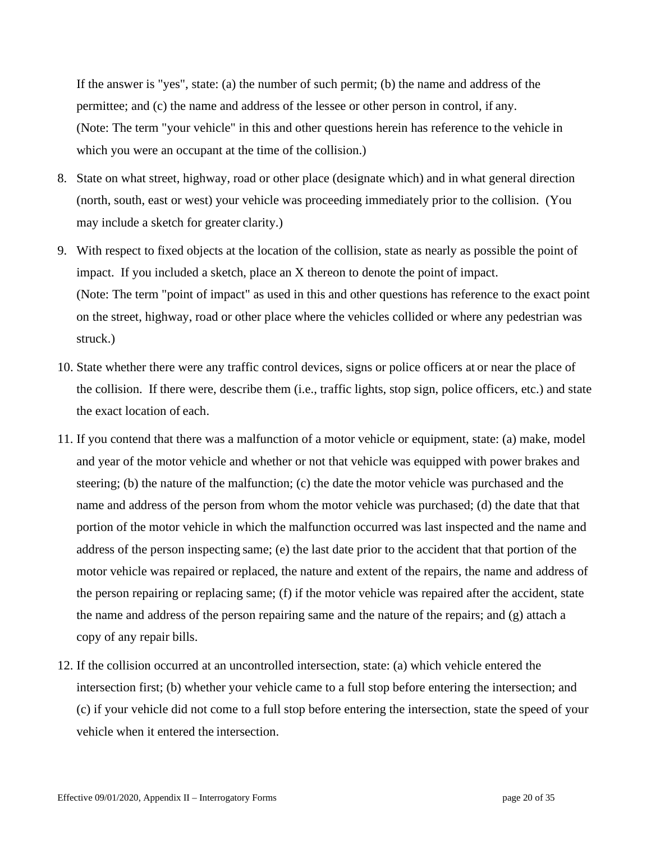If the answer is "yes", state: (a) the number of such permit; (b) the name and address of the permittee; and (c) the name and address of the lessee or other person in control, if any. (Note: The term "your vehicle" in this and other questions herein has reference to the vehicle in which you were an occupant at the time of the collision.)

- 8. State on what street, highway, road or other place (designate which) and in what general direction (north, south, east or west) your vehicle was proceeding immediately prior to the collision. (You may include a sketch for greater clarity.)
- 9. With respect to fixed objects at the location of the collision, state as nearly as possible the point of impact. If you included a sketch, place an X thereon to denote the point of impact. (Note: The term "point of impact" as used in this and other questions has reference to the exact point on the street, highway, road or other place where the vehicles collided or where any pedestrian was struck.)
- 10. State whether there were any traffic control devices, signs or police officers at or near the place of the collision. If there were, describe them (i.e., traffic lights, stop sign, police officers, etc.) and state the exact location of each.
- 11. If you contend that there was a malfunction of a motor vehicle or equipment, state: (a) make, model and year of the motor vehicle and whether or not that vehicle was equipped with power brakes and steering; (b) the nature of the malfunction; (c) the date the motor vehicle was purchased and the name and address of the person from whom the motor vehicle was purchased; (d) the date that that portion of the motor vehicle in which the malfunction occurred was last inspected and the name and address of the person inspecting same; (e) the last date prior to the accident that that portion of the motor vehicle was repaired or replaced, the nature and extent of the repairs, the name and address of the person repairing or replacing same; (f) if the motor vehicle was repaired after the accident, state the name and address of the person repairing same and the nature of the repairs; and (g) attach a copy of any repair bills.
- 12. If the collision occurred at an uncontrolled intersection, state: (a) which vehicle entered the intersection first; (b) whether your vehicle came to a full stop before entering the intersection; and (c) if your vehicle did not come to a full stop before entering the intersection, state the speed of your vehicle when it entered the intersection.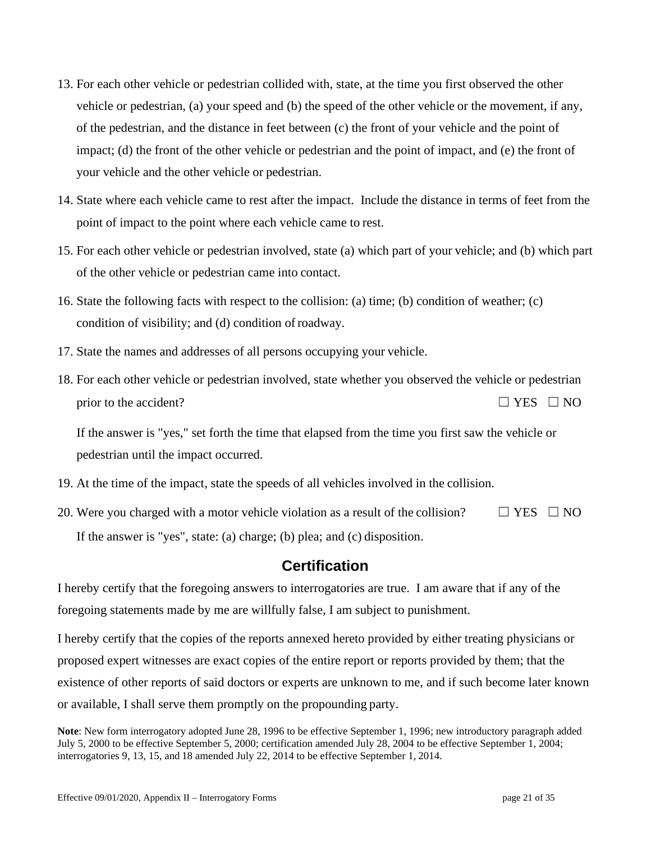- 13. For each other vehicle or pedestrian collided with, state, at the time you first observed the other vehicle or pedestrian, (a) your speed and (b) the speed of the other vehicle or the movement, if any, of the pedestrian, and the distance in feet between (c) the front of your vehicle and the point of impact; (d) the front of the other vehicle or pedestrian and the point of impact, and (e) the front of your vehicle and the other vehicle or pedestrian.
- 14. State where each vehicle came to rest after the impact. Include the distance in terms of feet from the point of impact to the point where each vehicle came to rest.
- 15. For each other vehicle or pedestrian involved, state (a) which part of your vehicle; and (b) which part of the other vehicle or pedestrian came into contact.
- 16. State the following facts with respect to the collision: (a) time; (b) condition of weather; (c) condition of visibility; and (d) condition of roadway.
- 17. State the names and addresses of all persons occupying your vehicle.
- 18. For each other vehicle or pedestrian involved, state whether you observed the vehicle or pedestrian prior to the accident?  $□$  YES  $□$  NO

If the answer is "yes," set forth the time that elapsed from the time you first saw the vehicle or pedestrian until the impact occurred.

- 19. At the time of the impact, state the speeds of all vehicles involved in the collision.
- 20. Were you charged with a motor vehicle violation as a result of the collision?  $\Box$  YES  $\Box$  NO If the answer is "yes", state: (a) charge; (b) plea; and (c) disposition.

## **Certification**

I hereby certify that the foregoing answers to interrogatories are true. I am aware that if any of the foregoing statements made by me are willfully false, I am subject to punishment.

I hereby certify that the copies of the reports annexed hereto provided by either treating physicians or proposed expert witnesses are exact copies of the entire report or reports provided by them; that the existence of other reports of said doctors or experts are unknown to me, and if such become later known or available, I shall serve them promptly on the propounding party.

**Note**: New form interrogatory adopted June 28, 1996 to be effective September 1, 1996; new introductory paragraph added July 5, 2000 to be effective September 5, 2000; certification amended July 28, 2004 to be effective September 1, 2004; interrogatories 9, 13, 15, and 18 amended July 22, 2014 to be effective September 1, 2014.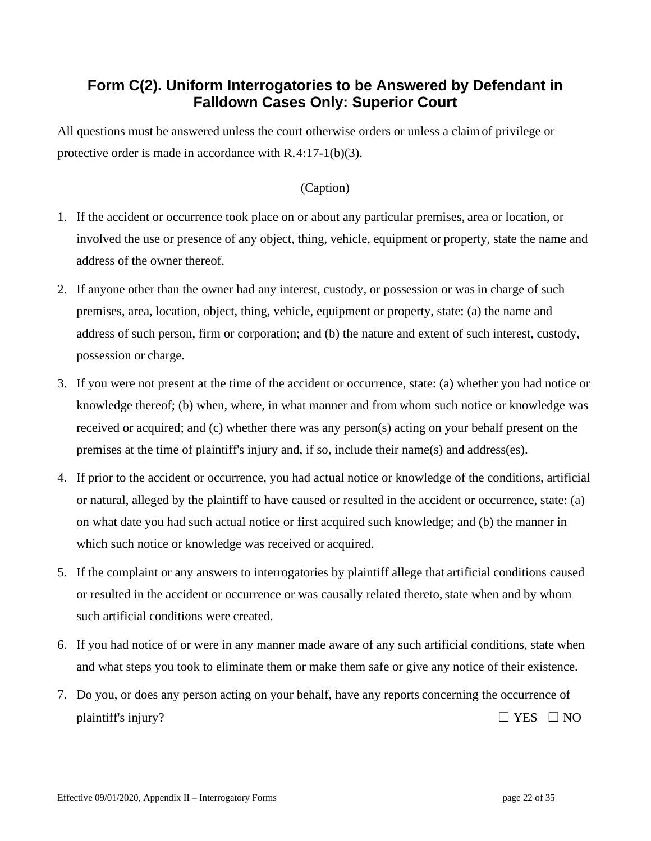# **Form C(2). Uniform Interrogatories to be Answered by Defendant in Falldown Cases Only: Superior Court**

All questions must be answered unless the court otherwise orders or unless a claimof privilege or protective order is made in accordance with R.4:17-1(b)(3).

- 1. If the accident or occurrence took place on or about any particular premises, area or location, or involved the use or presence of any object, thing, vehicle, equipment or property, state the name and address of the owner thereof.
- 2. If anyone other than the owner had any interest, custody, or possession or was in charge of such premises, area, location, object, thing, vehicle, equipment or property, state: (a) the name and address of such person, firm or corporation; and (b) the nature and extent of such interest, custody, possession or charge.
- 3. If you were not present at the time of the accident or occurrence, state: (a) whether you had notice or knowledge thereof; (b) when, where, in what manner and from whom such notice or knowledge was received or acquired; and (c) whether there was any person(s) acting on your behalf present on the premises at the time of plaintiff's injury and, if so, include their name(s) and address(es).
- 4. If prior to the accident or occurrence, you had actual notice or knowledge of the conditions, artificial or natural, alleged by the plaintiff to have caused or resulted in the accident or occurrence, state: (a) on what date you had such actual notice or first acquired such knowledge; and (b) the manner in which such notice or knowledge was received or acquired.
- 5. If the complaint or any answers to interrogatories by plaintiff allege that artificial conditions caused or resulted in the accident or occurrence or was causally related thereto, state when and by whom such artificial conditions were created.
- 6. If you had notice of or were in any manner made aware of any such artificial conditions, state when and what steps you took to eliminate them or make them safe or give any notice of their existence.
- 7. Do you, or does any person acting on your behalf, have any reports concerning the occurrence of plaintiff's injury?  $\Box$  YES  $\Box$  NO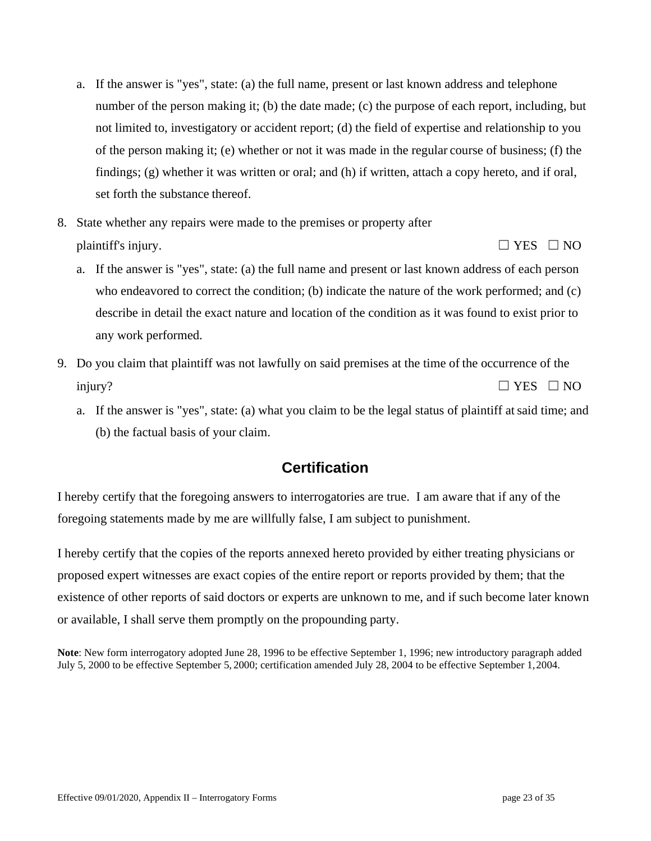- a. If the answer is "yes", state: (a) the full name, present or last known address and telephone number of the person making it; (b) the date made; (c) the purpose of each report, including, but not limited to, investigatory or accident report; (d) the field of expertise and relationship to you of the person making it; (e) whether or not it was made in the regular course of business; (f) the findings; (g) whether it was written or oral; and (h) if written, attach a copy hereto, and if oral, set forth the substance thereof.
- 8. State whether any repairs were made to the premises or property after plaintiff's injury.  $\Box$  YES  $\Box$  NO
	- a. If the answer is "yes", state: (a) the full name and present or last known address of each person who endeavored to correct the condition; (b) indicate the nature of the work performed; and (c) describe in detail the exact nature and location of the condition as it was found to exist prior to any work performed.
- 9. Do you claim that plaintiff was not lawfully on said premises at the time of the occurrence of the injury?  $\Box$  YES  $\Box$  NO
	- a. If the answer is "yes", state: (a) what you claim to be the legal status of plaintiff atsaid time; and (b) the factual basis of your claim.

I hereby certify that the foregoing answers to interrogatories are true. I am aware that if any of the foregoing statements made by me are willfully false, I am subject to punishment.

I hereby certify that the copies of the reports annexed hereto provided by either treating physicians or proposed expert witnesses are exact copies of the entire report or reports provided by them; that the existence of other reports of said doctors or experts are unknown to me, and if such become later known or available, I shall serve them promptly on the propounding party.

**Note**: New form interrogatory adopted June 28, 1996 to be effective September 1, 1996; new introductory paragraph added July 5, 2000 to be effective September 5, 2000; certification amended July 28, 2004 to be effective September 1,2004.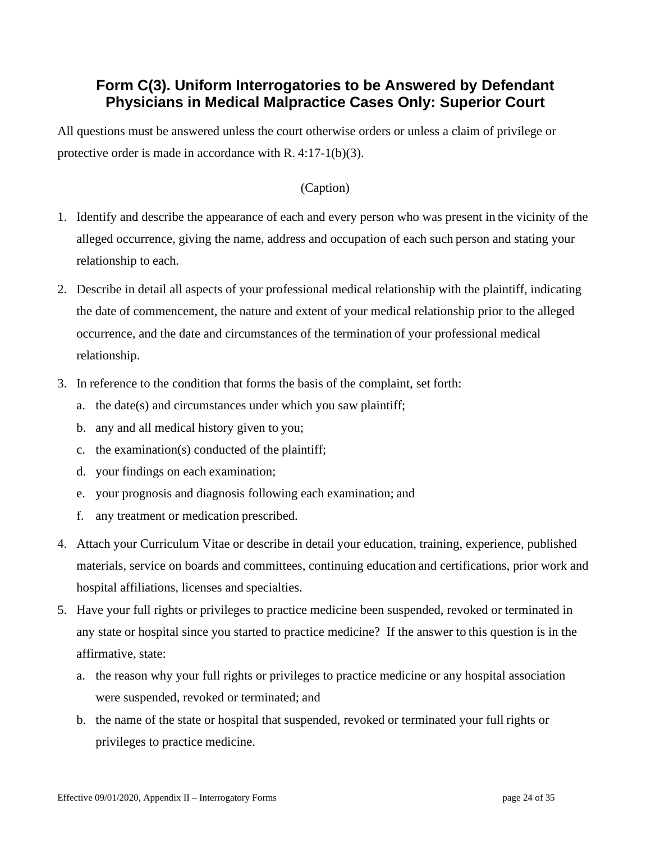# **Form C(3). Uniform Interrogatories to be Answered by Defendant Physicians in Medical Malpractice Cases Only: Superior Court**

All questions must be answered unless the court otherwise orders or unless a claim of privilege or protective order is made in accordance with R. 4:17-1(b)(3).

- 1. Identify and describe the appearance of each and every person who was present in the vicinity of the alleged occurrence, giving the name, address and occupation of each such person and stating your relationship to each.
- 2. Describe in detail all aspects of your professional medical relationship with the plaintiff, indicating the date of commencement, the nature and extent of your medical relationship prior to the alleged occurrence, and the date and circumstances of the termination of your professional medical relationship.
- 3. In reference to the condition that forms the basis of the complaint, set forth:
	- a. the date(s) and circumstances under which you saw plaintiff;
	- b. any and all medical history given to you;
	- c. the examination(s) conducted of the plaintiff;
	- d. your findings on each examination;
	- e. your prognosis and diagnosis following each examination; and
	- f. any treatment or medication prescribed.
- 4. Attach your Curriculum Vitae or describe in detail your education, training, experience, published materials, service on boards and committees, continuing education and certifications, prior work and hospital affiliations, licenses and specialties.
- 5. Have your full rights or privileges to practice medicine been suspended, revoked or terminated in any state or hospital since you started to practice medicine? If the answer to this question is in the affirmative, state:
	- a. the reason why your full rights or privileges to practice medicine or any hospital association were suspended, revoked or terminated; and
	- b. the name of the state or hospital that suspended, revoked or terminated your full rights or privileges to practice medicine.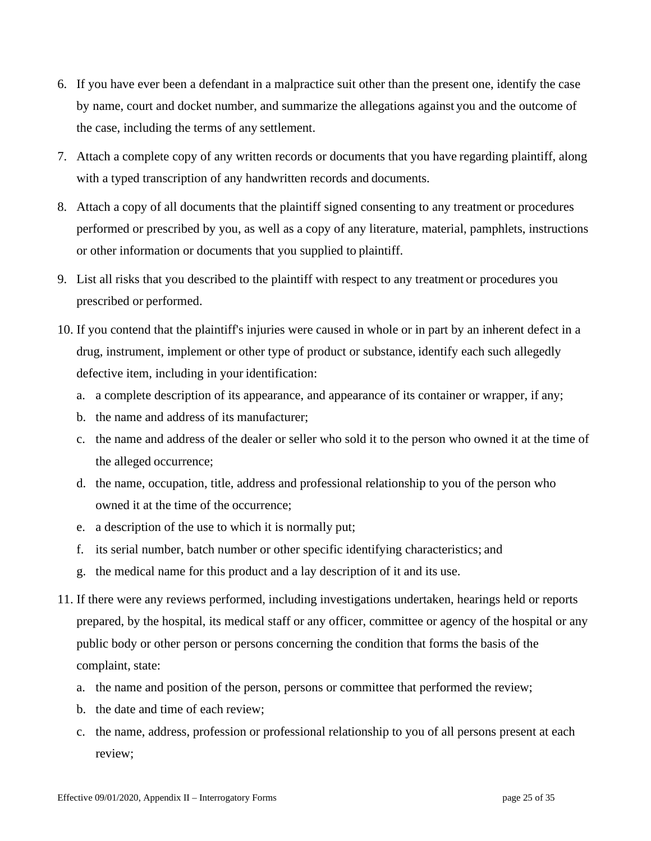- 6. If you have ever been a defendant in a malpractice suit other than the present one, identify the case by name, court and docket number, and summarize the allegations against you and the outcome of the case, including the terms of any settlement.
- 7. Attach a complete copy of any written records or documents that you have regarding plaintiff, along with a typed transcription of any handwritten records and documents.
- 8. Attach a copy of all documents that the plaintiff signed consenting to any treatment or procedures performed or prescribed by you, as well as a copy of any literature, material, pamphlets, instructions or other information or documents that you supplied to plaintiff.
- 9. List all risks that you described to the plaintiff with respect to any treatment or procedures you prescribed or performed.
- 10. If you contend that the plaintiff's injuries were caused in whole or in part by an inherent defect in a drug, instrument, implement or other type of product or substance, identify each such allegedly defective item, including in your identification:
	- a. a complete description of its appearance, and appearance of its container or wrapper, if any;
	- b. the name and address of its manufacturer;
	- c. the name and address of the dealer or seller who sold it to the person who owned it at the time of the alleged occurrence;
	- d. the name, occupation, title, address and professional relationship to you of the person who owned it at the time of the occurrence;
	- e. a description of the use to which it is normally put;
	- f. its serial number, batch number or other specific identifying characteristics; and
	- g. the medical name for this product and a lay description of it and its use.
- 11. If there were any reviews performed, including investigations undertaken, hearings held or reports prepared, by the hospital, its medical staff or any officer, committee or agency of the hospital or any public body or other person or persons concerning the condition that forms the basis of the complaint, state:
	- a. the name and position of the person, persons or committee that performed the review;
	- b. the date and time of each review;
	- c. the name, address, profession or professional relationship to you of all persons present at each review;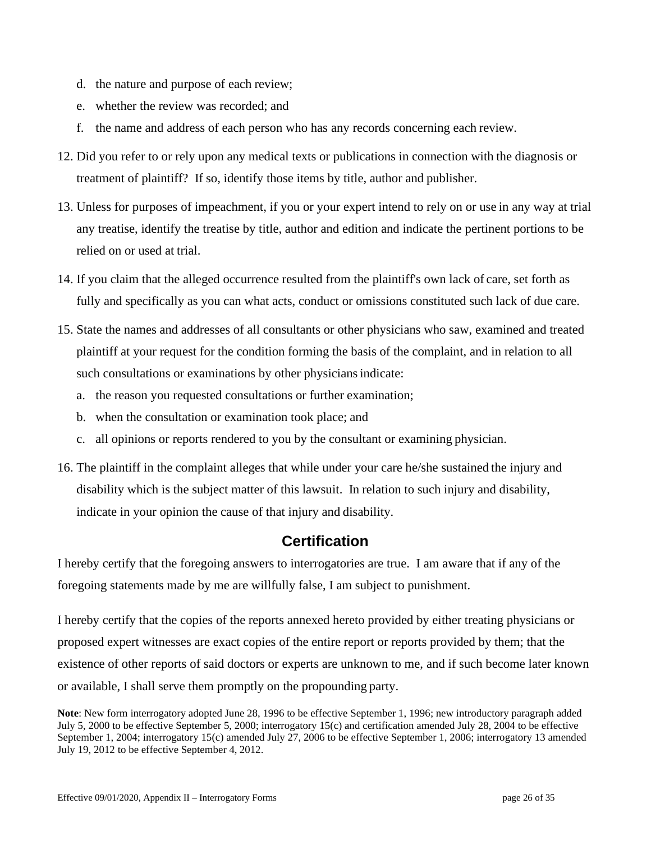- d. the nature and purpose of each review;
- e. whether the review was recorded; and
- f. the name and address of each person who has any records concerning each review.
- 12. Did you refer to or rely upon any medical texts or publications in connection with the diagnosis or treatment of plaintiff? If so, identify those items by title, author and publisher.
- 13. Unless for purposes of impeachment, if you or your expert intend to rely on or use in any way at trial any treatise, identify the treatise by title, author and edition and indicate the pertinent portions to be relied on or used at trial.
- 14. If you claim that the alleged occurrence resulted from the plaintiff's own lack of care, set forth as fully and specifically as you can what acts, conduct or omissions constituted such lack of due care.
- 15. State the names and addresses of all consultants or other physicians who saw, examined and treated plaintiff at your request for the condition forming the basis of the complaint, and in relation to all such consultations or examinations by other physicians indicate:
	- a. the reason you requested consultations or further examination;
	- b. when the consultation or examination took place; and
	- c. all opinions or reports rendered to you by the consultant or examining physician.
- 16. The plaintiff in the complaint alleges that while under your care he/she sustained the injury and disability which is the subject matter of this lawsuit. In relation to such injury and disability, indicate in your opinion the cause of that injury and disability.

I hereby certify that the foregoing answers to interrogatories are true. I am aware that if any of the foregoing statements made by me are willfully false, I am subject to punishment.

I hereby certify that the copies of the reports annexed hereto provided by either treating physicians or proposed expert witnesses are exact copies of the entire report or reports provided by them; that the existence of other reports of said doctors or experts are unknown to me, and if such become later known or available, I shall serve them promptly on the propounding party.

**Note**: New form interrogatory adopted June 28, 1996 to be effective September 1, 1996; new introductory paragraph added July 5, 2000 to be effective September 5, 2000; interrogatory 15(c) and certification amended July 28, 2004 to be effective September 1, 2004; interrogatory 15(c) amended July 27, 2006 to be effective September 1, 2006; interrogatory 13 amended July 19, 2012 to be effective September 4, 2012.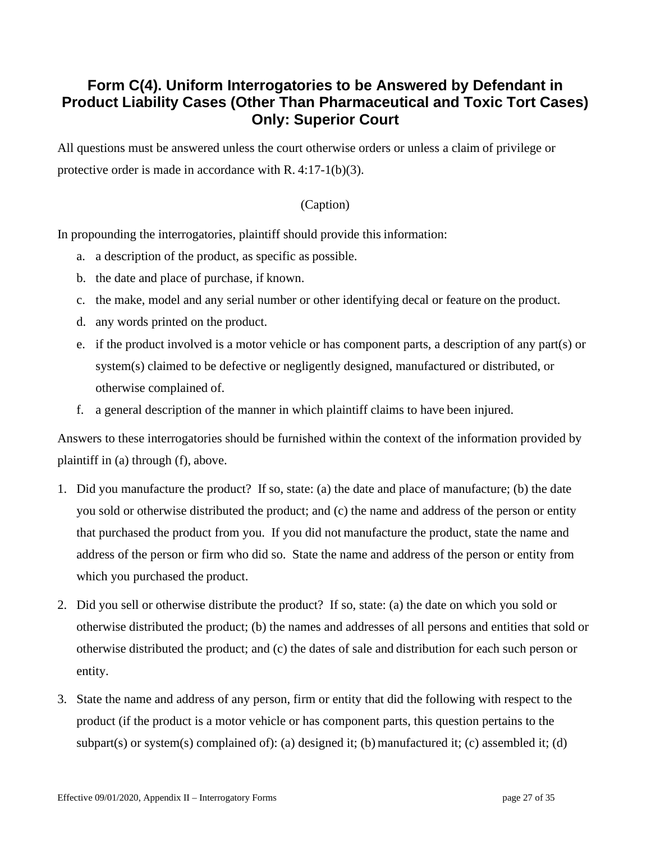# **Form C(4). Uniform Interrogatories to be Answered by Defendant in Product Liability Cases (Other Than Pharmaceutical and Toxic Tort Cases) Only: Superior Court**

All questions must be answered unless the court otherwise orders or unless a claim of privilege or protective order is made in accordance with R. 4:17-1(b)(3).

## (Caption)

In propounding the interrogatories, plaintiff should provide this information:

- a. a description of the product, as specific as possible.
- b. the date and place of purchase, if known.
- c. the make, model and any serial number or other identifying decal or feature on the product.
- d. any words printed on the product.
- e. if the product involved is a motor vehicle or has component parts, a description of any part(s) or system(s) claimed to be defective or negligently designed, manufactured or distributed, or otherwise complained of.
- f. a general description of the manner in which plaintiff claims to have been injured.

Answers to these interrogatories should be furnished within the context of the information provided by plaintiff in (a) through (f), above.

- 1. Did you manufacture the product? If so, state: (a) the date and place of manufacture; (b) the date you sold or otherwise distributed the product; and (c) the name and address of the person or entity that purchased the product from you. If you did not manufacture the product, state the name and address of the person or firm who did so. State the name and address of the person or entity from which you purchased the product.
- 2. Did you sell or otherwise distribute the product? If so, state: (a) the date on which you sold or otherwise distributed the product; (b) the names and addresses of all persons and entities that sold or otherwise distributed the product; and (c) the dates of sale and distribution for each such person or entity.
- 3. State the name and address of any person, firm or entity that did the following with respect to the product (if the product is a motor vehicle or has component parts, this question pertains to the subpart(s) or system(s) complained of): (a) designed it; (b) manufactured it; (c) assembled it; (d)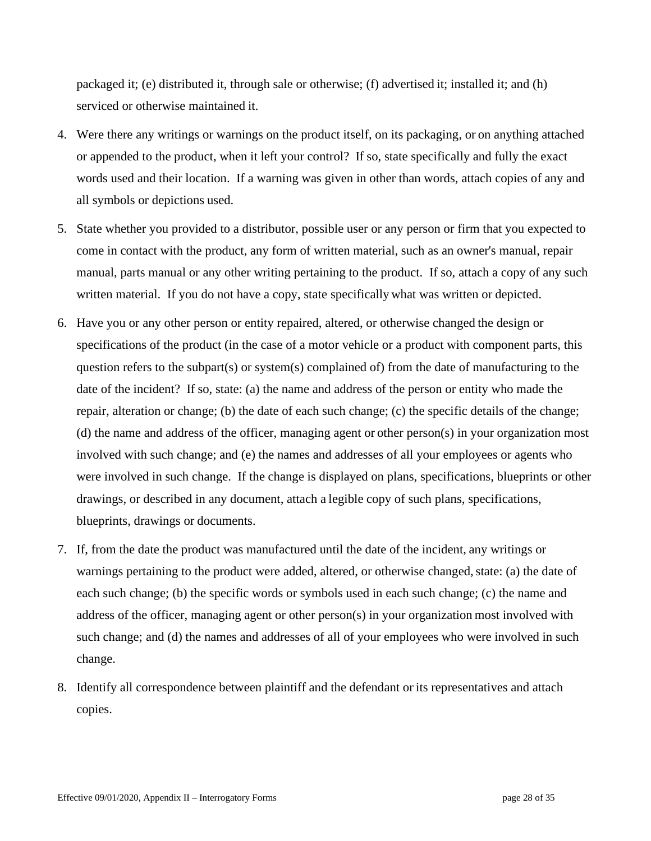packaged it; (e) distributed it, through sale or otherwise; (f) advertised it; installed it; and (h) serviced or otherwise maintained it.

- 4. Were there any writings or warnings on the product itself, on its packaging, or on anything attached or appended to the product, when it left your control? If so, state specifically and fully the exact words used and their location. If a warning was given in other than words, attach copies of any and all symbols or depictions used.
- 5. State whether you provided to a distributor, possible user or any person or firm that you expected to come in contact with the product, any form of written material, such as an owner's manual, repair manual, parts manual or any other writing pertaining to the product. If so, attach a copy of any such written material. If you do not have a copy, state specifically what was written or depicted.
- 6. Have you or any other person or entity repaired, altered, or otherwise changed the design or specifications of the product (in the case of a motor vehicle or a product with component parts, this question refers to the subpart(s) or system(s) complained of) from the date of manufacturing to the date of the incident? If so, state: (a) the name and address of the person or entity who made the repair, alteration or change; (b) the date of each such change; (c) the specific details of the change; (d) the name and address of the officer, managing agent or other person(s) in your organization most involved with such change; and (e) the names and addresses of all your employees or agents who were involved in such change. If the change is displayed on plans, specifications, blueprints or other drawings, or described in any document, attach a legible copy of such plans, specifications, blueprints, drawings or documents.
- 7. If, from the date the product was manufactured until the date of the incident, any writings or warnings pertaining to the product were added, altered, or otherwise changed, state: (a) the date of each such change; (b) the specific words or symbols used in each such change; (c) the name and address of the officer, managing agent or other person(s) in your organization most involved with such change; and (d) the names and addresses of all of your employees who were involved in such change.
- 8. Identify all correspondence between plaintiff and the defendant or its representatives and attach copies.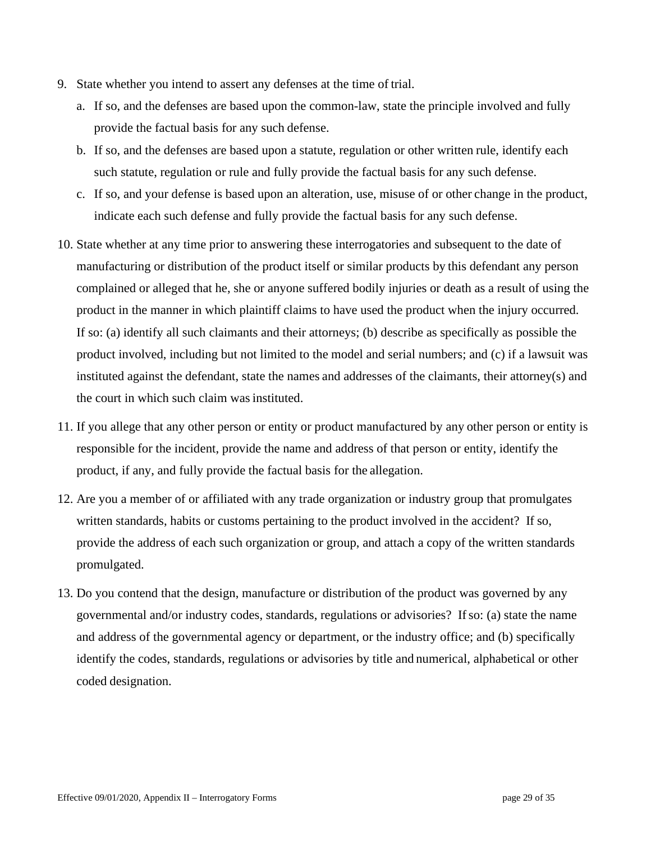- 9. State whether you intend to assert any defenses at the time of trial.
	- a. If so, and the defenses are based upon the common-law, state the principle involved and fully provide the factual basis for any such defense.
	- b. If so, and the defenses are based upon a statute, regulation or other written rule, identify each such statute, regulation or rule and fully provide the factual basis for any such defense.
	- c. If so, and your defense is based upon an alteration, use, misuse of or other change in the product, indicate each such defense and fully provide the factual basis for any such defense.
- 10. State whether at any time prior to answering these interrogatories and subsequent to the date of manufacturing or distribution of the product itself or similar products by this defendant any person complained or alleged that he, she or anyone suffered bodily injuries or death as a result of using the product in the manner in which plaintiff claims to have used the product when the injury occurred. If so: (a) identify all such claimants and their attorneys; (b) describe as specifically as possible the product involved, including but not limited to the model and serial numbers; and (c) if a lawsuit was instituted against the defendant, state the names and addresses of the claimants, their attorney(s) and the court in which such claim was instituted.
- 11. If you allege that any other person or entity or product manufactured by any other person or entity is responsible for the incident, provide the name and address of that person or entity, identify the product, if any, and fully provide the factual basis for the allegation.
- 12. Are you a member of or affiliated with any trade organization or industry group that promulgates written standards, habits or customs pertaining to the product involved in the accident? If so, provide the address of each such organization or group, and attach a copy of the written standards promulgated.
- 13. Do you contend that the design, manufacture or distribution of the product was governed by any governmental and/or industry codes, standards, regulations or advisories? If so: (a) state the name and address of the governmental agency or department, or the industry office; and (b) specifically identify the codes, standards, regulations or advisories by title and numerical, alphabetical or other coded designation.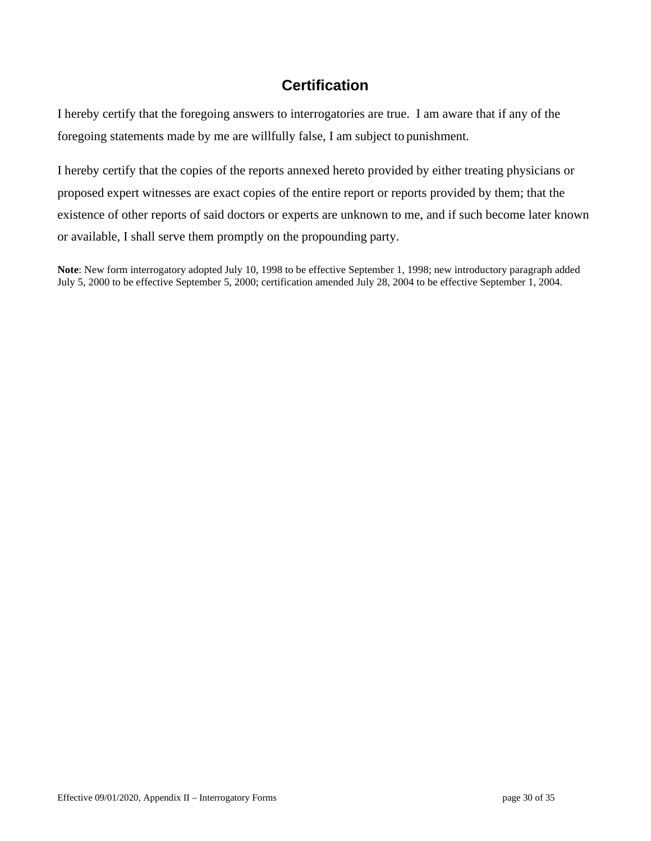I hereby certify that the foregoing answers to interrogatories are true. I am aware that if any of the foregoing statements made by me are willfully false, I am subject to punishment.

I hereby certify that the copies of the reports annexed hereto provided by either treating physicians or proposed expert witnesses are exact copies of the entire report or reports provided by them; that the existence of other reports of said doctors or experts are unknown to me, and if such become later known or available, I shall serve them promptly on the propounding party.

**Note**: New form interrogatory adopted July 10, 1998 to be effective September 1, 1998; new introductory paragraph added July 5, 2000 to be effective September 5, 2000; certification amended July 28, 2004 to be effective September 1, 2004.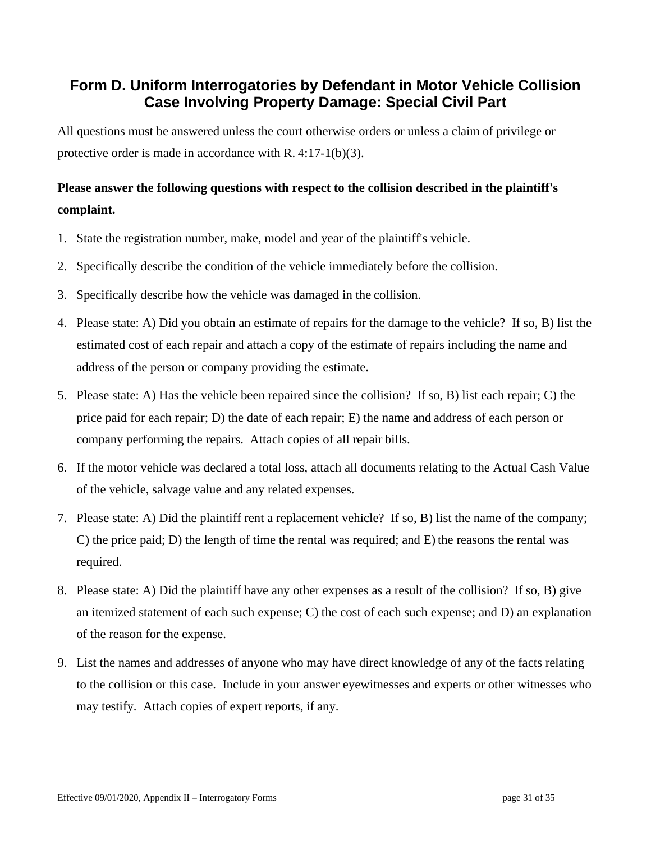# **Form D. Uniform Interrogatories by Defendant in Motor Vehicle Collision Case Involving Property Damage: Special Civil Part**

All questions must be answered unless the court otherwise orders or unless a claim of privilege or protective order is made in accordance with R. 4:17-1(b)(3).

# **Please answer the following questions with respect to the collision described in the plaintiff's complaint.**

- 1. State the registration number, make, model and year of the plaintiff's vehicle.
- 2. Specifically describe the condition of the vehicle immediately before the collision.
- 3. Specifically describe how the vehicle was damaged in the collision.
- 4. Please state: A) Did you obtain an estimate of repairs for the damage to the vehicle? If so, B) list the estimated cost of each repair and attach a copy of the estimate of repairs including the name and address of the person or company providing the estimate.
- 5. Please state: A) Has the vehicle been repaired since the collision? If so, B) list each repair; C) the price paid for each repair; D) the date of each repair; E) the name and address of each person or company performing the repairs. Attach copies of all repair bills.
- 6. If the motor vehicle was declared a total loss, attach all documents relating to the Actual Cash Value of the vehicle, salvage value and any related expenses.
- 7. Please state: A) Did the plaintiff rent a replacement vehicle? If so, B) list the name of the company; C) the price paid; D) the length of time the rental was required; and E) the reasons the rental was required.
- 8. Please state: A) Did the plaintiff have any other expenses as a result of the collision? If so, B) give an itemized statement of each such expense; C) the cost of each such expense; and D) an explanation of the reason for the expense.
- 9. List the names and addresses of anyone who may have direct knowledge of any of the facts relating to the collision or this case. Include in your answer eyewitnesses and experts or other witnesses who may testify. Attach copies of expert reports, if any.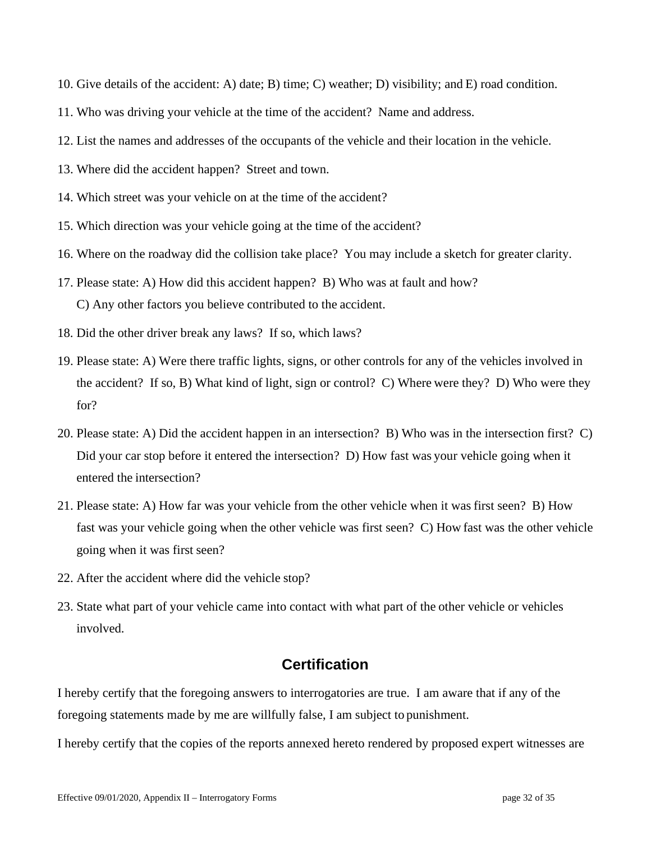- 10. Give details of the accident: A) date; B) time; C) weather; D) visibility; and E) road condition.
- 11. Who was driving your vehicle at the time of the accident? Name and address.
- 12. List the names and addresses of the occupants of the vehicle and their location in the vehicle.
- 13. Where did the accident happen? Street and town.
- 14. Which street was your vehicle on at the time of the accident?
- 15. Which direction was your vehicle going at the time of the accident?
- 16. Where on the roadway did the collision take place? You may include a sketch for greater clarity.
- 17. Please state: A) How did this accident happen? B) Who was at fault and how? C) Any other factors you believe contributed to the accident.
- 18. Did the other driver break any laws? If so, which laws?
- 19. Please state: A) Were there traffic lights, signs, or other controls for any of the vehicles involved in the accident? If so, B) What kind of light, sign or control? C) Where were they? D) Who were they for?
- 20. Please state: A) Did the accident happen in an intersection? B) Who was in the intersection first? C) Did your car stop before it entered the intersection? D) How fast was your vehicle going when it entered the intersection?
- 21. Please state: A) How far was your vehicle from the other vehicle when it was first seen? B) How fast was your vehicle going when the other vehicle was first seen? C) How fast was the other vehicle going when it was first seen?
- 22. After the accident where did the vehicle stop?
- 23. State what part of your vehicle came into contact with what part of the other vehicle or vehicles involved.

I hereby certify that the foregoing answers to interrogatories are true. I am aware that if any of the foregoing statements made by me are willfully false, I am subject to punishment.

I hereby certify that the copies of the reports annexed hereto rendered by proposed expert witnesses are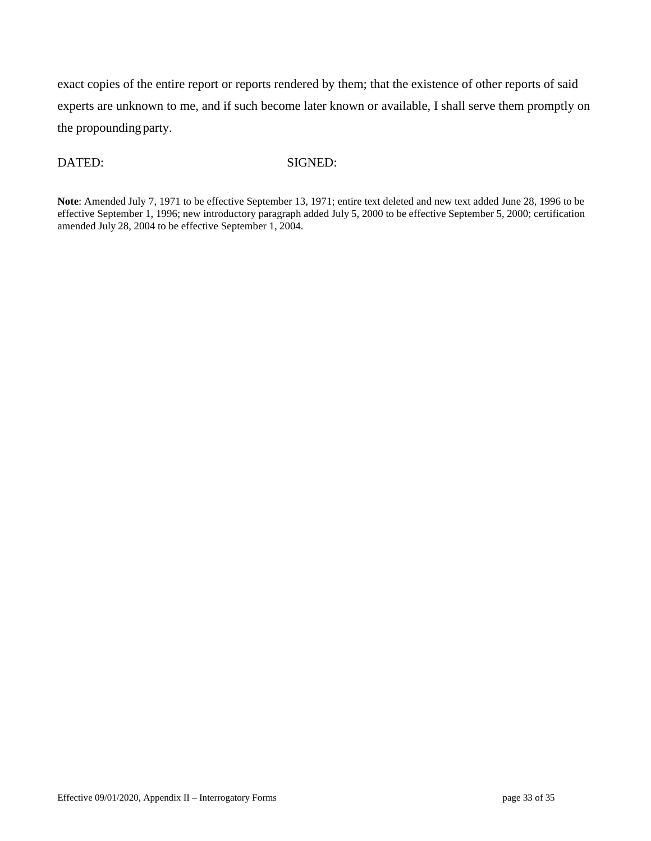exact copies of the entire report or reports rendered by them; that the existence of other reports of said experts are unknown to me, and if such become later known or available, I shall serve them promptly on the propounding party.

#### DATED: SIGNED:

**Note**: Amended July 7, 1971 to be effective September 13, 1971; entire text deleted and new text added June 28, 1996 to be effective September 1, 1996; new introductory paragraph added July 5, 2000 to be effective September 5, 2000; certification amended July 28, 2004 to be effective September 1, 2004.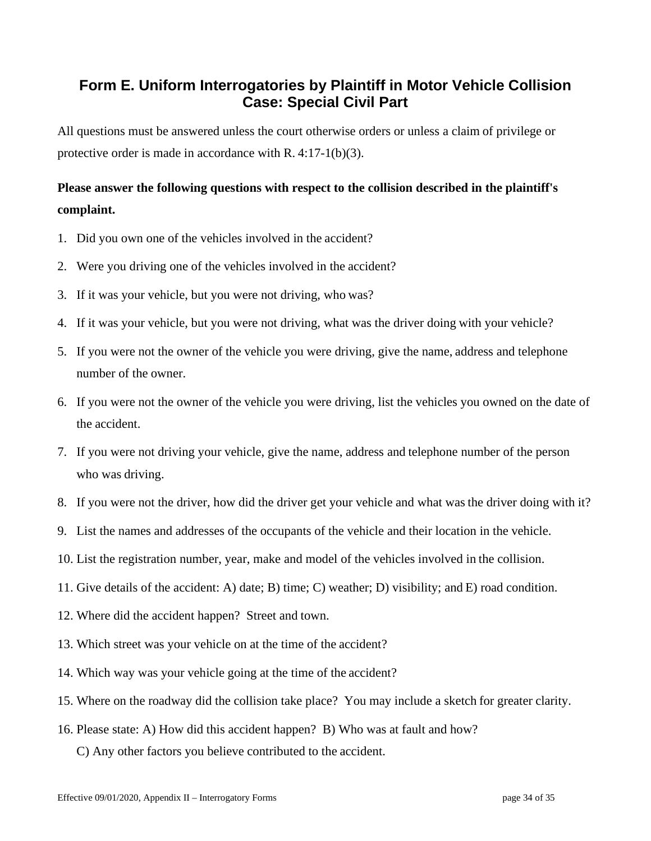# **Form E. Uniform Interrogatories by Plaintiff in Motor Vehicle Collision Case: Special Civil Part**

All questions must be answered unless the court otherwise orders or unless a claim of privilege or protective order is made in accordance with R. 4:17-1(b)(3).

# **Please answer the following questions with respect to the collision described in the plaintiff's complaint.**

- 1. Did you own one of the vehicles involved in the accident?
- 2. Were you driving one of the vehicles involved in the accident?
- 3. If it was your vehicle, but you were not driving, who was?
- 4. If it was your vehicle, but you were not driving, what was the driver doing with your vehicle?
- 5. If you were not the owner of the vehicle you were driving, give the name, address and telephone number of the owner.
- 6. If you were not the owner of the vehicle you were driving, list the vehicles you owned on the date of the accident.
- 7. If you were not driving your vehicle, give the name, address and telephone number of the person who was driving.
- 8. If you were not the driver, how did the driver get your vehicle and what wasthe driver doing with it?
- 9. List the names and addresses of the occupants of the vehicle and their location in the vehicle.
- 10. List the registration number, year, make and model of the vehicles involved in the collision.
- 11. Give details of the accident: A) date; B) time; C) weather; D) visibility; and E) road condition.
- 12. Where did the accident happen? Street and town.
- 13. Which street was your vehicle on at the time of the accident?
- 14. Which way was your vehicle going at the time of the accident?
- 15. Where on the roadway did the collision take place? You may include a sketch for greater clarity.
- 16. Please state: A) How did this accident happen? B) Who was at fault and how?
	- C) Any other factors you believe contributed to the accident.